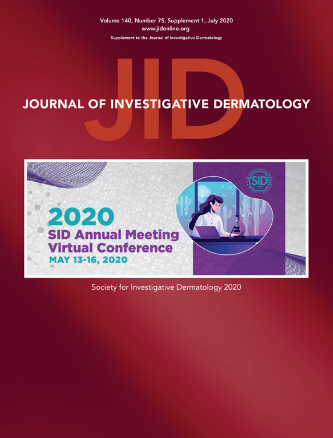Volume 140, Number 7S, Supplement 1, July 2020 www.jidonline.org Supplement to the Journal of Investigative Dermatology

# JOURNAL OF INVESTIGATIVE DERMATOLOGY



Society for Investigative Dermatology 2020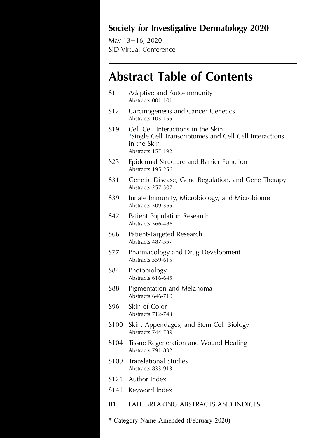# Society for Investigative Dermatology 2020

May 13-16, 2020 SID Virtual Conference

# **Abstract Table of Contents**

- Since of Contents of Contents of Contents of Contents of Contents of Contents of Contents of Contents of Contents of Contents of Contents of Contents of Contents of Contents of Contents of Contents of Contents of Contents Abstracts 001-101
- S12 Carcinogenesis and Cancer Genetics Abstracts 103-155
- S19 Cell-Cell Interactions in the Skin \*Single-Cell Transcriptomes and Cell-Cell Interactions in the Skin Abstracts 157-192
- S23 Epidermal Structure and Barrier Function Abstracts 195-256
- S31 Genetic Disease, Gene Regulation, and Gene Therapy Abstracts 257-307
- S39 Innate Immunity, Microbiology, and Microbiome Abstracts 309-365
- S47 Patient Population Research Abstracts 366-486
- S66 Patient-Targeted Research Abstracts 487-557
- S77 Pharmacology and Drug Development Abstracts 559-615
- S84 Photobiology Abstracts 616-645
- S88 Pigmentation and Melanoma Abstracts 646-710
- S96 Skin of Color Abstracts 712-743
- S100 Skin, Appendages, and Stem Cell Biology Abstracts 744-789
- S104 Tissue Regeneration and Wound Healing Abstracts 791-832
- S109 Translational Studies Abstracts 833-913
- S121 Author Index
- S141 Keyword Index
- B1 LATE-BREAKING ABSTRACTS AND INDICES
- \* Category Name Amended (February 2020)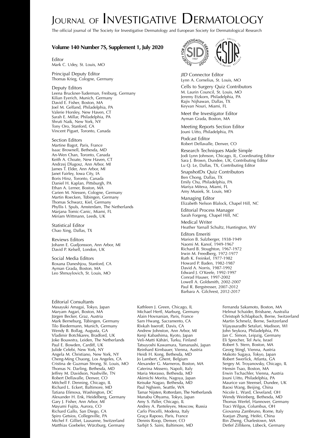# JOURNAL OF INVESTIGATIVE DERMATOLOGY

The official journal of The Society for Investigative Dermatology and European Society for Dermatological Research

#### Volume 140 Number 7S, Supplement 1, July 2020

Editor Mark C. Udey, St. Louis, MO

Principal Deputy Editor Thomas Krieg, Cologne, Germany

Deputy Editors Leena Bruckner-Tuderman, Freiburg, Germany Kilian Eyerich, Munich, Germany David E. Fisher, Boston, MA Joel M. Gelfand, Philadelphia, PA Valerie Horsley, New Haven, CT Sarah E. Millar, Philadelphia, PA Shruti Naik, New York, NY Tony Oro, Stanford, CA Vincent Piguet, Toronto, Canada

Section Editors Martine Bagot, Paris, France Isaac Brownell, Bethesda, MD An-Wen Chan, Toronto, Canada Keith A. Choate, New Haven, CT Andrzej Dlugosz, Ann Arbor, MI James T. Elder, Ann Arbor, MI Janet Fairley, Iowa City, IA Boris Hinz, Toronto, Canada Daniel H. Kaplan, Pittsburgh, PA Ethan A. Lerner, Boston, MA Carien M. Niessen, Cologne, Germany Martin Roecken, Tübingen, Germany Thomas Schwarz, Kiel, Germany Phyllis I. Spuls, Amsterdam, The Netherlands Marjana Tomic-Canic, Miami, FL Miriam Wittmann, Leeds, UK

Statistical Editor Chao Xing, Dallas, TX

Reviews Editors Johann E. Gudjonsson, Ann Arbor, MI David P. Kelsell, London, UK

Social Media Editors Roxana Daneshjou, Stanford, CA Ayman Grada, Boston, MA Leo Shmuylovich, St. Louis, MO

Editorial Consultants Masayuki Amagai, Tokyo, Japan Maryam Asgari, Boston, MA Jürgen Becker, Graz, Austria Mark Berneburg, Tübingen, Germany Tilo Biedermann, Munich, Germany Wendy B. Bollag, Augusta, GA Vladimir Botchkarev, Bradford, UK Joke Bouwstra, Leiden, The Netherlands Paul E. Bowden, Cardiff, UK Julide Celebi, New York, NY Angela M. Christiano, New York, NY Cheng-Ming Chuong, Los Angeles, CA Cristina de Guzman Strong, St. Louis, MO Thomas N. Darling, Bethesda, MD Jeffrey M. Davidson, Nashville, TN Robert Dellavalle, Denver, CO Mitchell F. Denning, Chicago, IL Richard L. Eckert, Baltimore, MD Tatiana Efimova, Washington, DC Alexander H. Enk, Heidelberg, Germany Gary J. Fisher, Ann Arbor, MI Mayumi Fujita, Aurora, CO Richard Gallo, San Diego, CA Spiro Getsios, Collegeville, PA Michel F. Gilliet, Lausanne, Switzerland Matthias Goebeler, Würzburg, Germany



JID Connector Editor Lynn A. Cornelius, St. Louis, MO

Cells to Surgery Quiz Contributors M. Laurin Council, St. Louis, MO Jeremy Etzkorn, Philadelphia, PA Rajiv Nijhawan, Dallas, TX Keyvan Nouri, Miami, FL

Meet the Investigator Editor Ayman Grada, Boston, MA

Meeting Reports Section Editor Jouni Uitto, Philadelphia, PA

Podcast Editor Robert Dellavalle, Denver, CO

Research Techniques Made Simple Jodi Lynn Johnson, Chicago, IL, Coordinating Editor Sara J. Brown, Dundee, UK, Contributing Editor Lu Q. Le, Dallas, TX, Contributing Editor

SnapshotDx Quiz Contributors Ben Chong, Dallas, TX Emily Chu, Philadelphia, PA Mariya Miteva, Miami, FL Amy Musiek, St. Louis, MO

Managing Editor Elizabeth Nelson Blalock, Chapel Hill, NC

Editorial Process Manager Sarah Forgeng, Chapel Hill, NC

Medical Writer Heather Yarnall Schultz, Huntington, WV Editors Emeriti Marion B. Sulzberger, 1938-1949 Naomi M. Kanof, 1949-1967 Richard B. Stoughton, 1967-1972 Irwin M. Freedberg, 1972-1977 Ruth K. Freinkel, 1977-1982 Howard P. Baden, 1982-1987 David A. Norris, 1987-1992 Edward J. O'Keefe, 1992-1997 Conrad Hauser, 1997-2002 Lowell A. Goldsmith, 2002-2007 Paul R. Bergstresser, 2007-2012

Barbara A. Gilchrest, 2012-2017

Kathleen J. Green, Chicago, IL Michael Hertl, Marburg, Germany Alain Hovnanian, Paris, France Sam Hwang, Sacramento, CA Rivkah Isseroff, Davis, CA Andrew Johnston, Ann Arbor, MI Kenji Kabashima, Kyoto, Japan Veli-Matti Kähäri, Turku, Finland Tatsuyoshi Kawamura, Yamanashi, Japan Reinhard Kirnbauer, Vienna, Austria Heidi H. Kong, Bethesda, MD Jo Lambert, Ghent, Belgium Alexander G. Marneros, Boston, MA Caterina Missero, Napoli, Italy Maria Morasso, Bethesda, MD Akimichi Morita, Nagoya, Japan Keisuke Nagao, Bethesda, MD Paul Nghiem, Seattle, WA Tamar Nijsten, Rotterdam, The Netherlands Manabu Ohyama, Tokyo, Japan Amy S. Paller, Chicago, IL Andrey A. Panteleyev, Moscow, Russia Carlo Pincelli, Modena, Italy Graça Raposo, Paris, France Dennis Roop, Denver, CO Sarbjit S. Saini, Baltimore, MD

Fernanda Sakamoto, Boston, MA Helmut Schaider, Brisbane, Australia Christoph Schlapbach, Berne, Switzerland Martin Schmelz, Berne, Switzerland Vijayasaradhi Setaluri, Madison, WI John Seykora, Philadelphia, PA Jan C. Simon, Leipzig, Germany Eli Sprecher, Tel Aviv, Israel Robert S. Stern, Boston, MA Georg Stingl, Vienna, Austria Makoto Sugaya, Tokyo, Japan Robert Swerlick, Atlanta, GA Sergey M. Troyanovsky, Chicago, IL Hensin Tsao, Boston, MA Erwin Tschachler, Vienna, Austria Jouni Uitto, Philadelphia, PA Maurice van Steensel, Dundee, UK Baoxi Wang, Beijing, China Nicole L. Ward, Cleveland, OH Wendy Weinberg, Bethesda, MD Thomas Werfel, Hannover, Germany Traci Wilgus, Columbus, OH Giovanna Zambruno, Rome, Italy Xuejun Zhang, Heifei, China Bin Zheng, Charlestown, MA Detlef Zillikens, Lübeck, Germany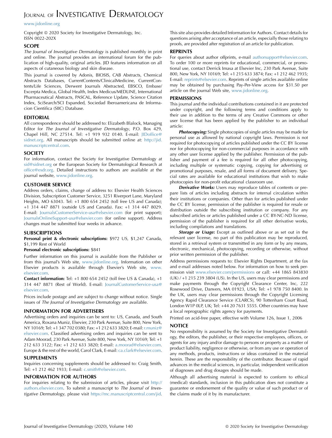# JOURNAL OF INVESTIGATIVE DERMATOLOGY

#### [www.jidonline.org](http://www.jidonline.org)

Copyright @ 2020 Society for Investigative Dermatology, Inc. ISSN 0022-202X

#### SCOPE

The Journal of Investigative Dermatology is published monthly in print and online. The journal provides an international forum for the publication of high-quality, original articles. JID features information on all aspects of cutaneous biology and skin disease.

This journal is covered by Adonis, BIOSIS, CAB Abstracts, Chemical Abstracts Databases, CurrentContents/ClinicalMedicine, CurrentContents/Life Sciences, Derwent Journals Abstracted, EBSCO, Embase/ Excerpta Medica, Global Health, Index Medicus/MEDLINE, International Pharmaceutical Abstracts, PASCAL, Reference Update, Science Citation Index, SciSearch/SCI Expanded, Sociedad Iberoamericana de Informacion Cientifica (SIIC) Database.

#### EDITORIAL

All correspondence should be addressed to: Elizabeth Blalock, Managing Editor for The Journal of Investigative Dermatology, P.O. Box 429, Chapel Hill, NC 27514. Tel: +1 919 932 0140. E-mail: [JIDoffice@](mailto:JIDoffice@sidnet.org) [sidnet.org](mailto:JIDoffice@sidnet.org). All manuscripts should be submitted online at: [http://jid.](http://jid.manuscriptcentral.com) [manuscriptcentral.com](http://jid.manuscriptcentral.com).

#### **SOCIETY**

For information, contact the Society for Investigative Dermatology at [sid@sidnet.org](mailto:sid@sidnet.org) or the European Society for Dermatological Research at [office@esdr.org](mailto:office@esdr.org). Detailed instructions to authors are available at the journal website, [www.jidonline.org.](http://www.jidonline.org)

#### CUSTOMER SERVICE

Address orders, claims, change of address to: Elsevier Health Sciences Division, Subscription Customer Service, 3251 Riverport Lane, Maryland Heights, MO 63043. Tel: +1 800 654 2452 (toll free US and Canada); +1 314 447 8871 (outside US and Canada). Fax: +1 314 447 8029. E-mail: [JournalsCustomerService-usa@elsevier.com](mailto:JournalsCustomerService-usa@elsevier.com) (for print support); [JournalsOnlineSupport-usa@elsevier.com](mailto:JournalsOnlineSupport-usa@elsevier.com) (for online support). Address changes must be submitted four weeks in advance.

#### SUBSCRIPTIONS

Personal print & electronic subscriptions: \$972 US, \$1,247 Canada, \$1,199 Rest of World

#### Personal electronic subscriptions: \$841

Further information on this journal is available from the Publisher or from this journal's Web site, [www.jidonline.org](http://www.jidonline.org). Information on other Elsevier products is available through Elsevier's Web site, [www.](http://www.elsevier.com) [elsevier.com.](http://www.elsevier.com)

Contact information: Tel: +1 800 654 2452 (toll free US & Canada), +1 314 447 8871 (Rest of World). E-mail: [JournalCustomerService-usa@](mailto:JournalCustomerService-usa@elsevier.com) [elsevier.com.](mailto:JournalCustomerService-usa@elsevier.com)

Prices include postage and are subject to change without notice. Single issues of The Journal of Investigative Dermatology are available.

#### INFORMATION FOR ADVERTISERS

Advertising orders and inquiries can be sent to: US, Canada, and South America, Roxana Muniz, Elsevier, 230 Park Avenue, Suite 800, New York, NY 10169; Tel: +1 347 702 0380; Fax: +1 212 633 3820; E-mail: [r.muniz@](mailto:r.muniz@elsevier.com) [elsevier.com.](mailto:r.muniz@elsevier.com) Classified advertising orders and inquiries can be sent to Adam Moorad, 230 Park Avenue, Suite 800, New York, NY 10169; Tel: +1 212 633 3122; Fax: +1 212 633 3820; E-mail: [a.moorad@elsevier.com.](mailto:a.moorad@elsevier.com) Europe & the rest of the world, Carol Clark, E-mail: [ca.clark@elsevier.com.](mailto:ca.clark@elsevier.com)

#### SUPPLEMENTS

Inquiries concerning supplements should be addressed to: Craig Smith, Tel: +1 212 462 1933; E-mail: [c.smith@elsevier.com.](mailto:c.smith@elsevier.com)

#### INFORMATION FOR AUTHORS

For inquiries relating to the submission of articles, please visit [http://](http://authors.elsevier.com) [authors.elsevier.com.](http://authors.elsevier.com) To submit a manuscript to The Journal of Investigative Dermatology, please visit [https://mc.manuscriptcentral.com/jid.](https://mc.manuscriptcentral.com/jid) This site also provides detailed Information for Authors. Contact details for questions arising after acceptance of an article, especially those relating to proofs, are provided after registration of an article for publication.

#### REPRINTS

For queries about author offprints, e-mail [authorsupport@elsevier.com.](mailto:authorsupport@elsevier.com) To order 100 or more reprints for educational, commercial, or promotional use, contact Derrick Imasa at Elsevier Inc, 230 Park Avenue, Suite 800, New York, NY 10169; Tel: +1 215 633 3874; Fax: +1 212 462 1935; E-mail: [reprints@elsevier.com.](mailto:reprints@elsevier.com) Reprints of single articles available online may be obtained by purchasing Pay-Per-View access for \$31.50 per article on the journal Web site, [www.jidonline.org](http://www.jidonline.org).

#### PERMISSIONS

This journal and the individual contributions contained in it are protected under copyright, and the following terms and conditions apply to their use in addition to the terms of any Creative Commons or other user license that has been applied by the publisher to an individual article:

Photocopying: Single photocopies of single articles may be made for personal use as allowed by national copyright laws. Permission is not required for photocopying of articles published under the CC BY license nor for photocopying for non-commercial purposes in accordance with any other user license applied by the publisher. Permission of the publisher and payment of a fee is required for all other photocopying, including multiple or systematic copying, copying for advertising or promotional purposes, resale, and all forms of document delivery. Special rates are available for educational institutions that wish to make photocopies for non-profit educational classroom use.

Derivative Works: Users may reproduce tables of contents or prepare lists of articles including abstracts for internal circulation within their institutions or companies. Other than for articles published under the CC BY license, permission of the publisher is required for resale or distribution outside the subscribing institution or company. For any subscribed articles or articles published under a CC BY-NC-ND license, permission of the publisher is required for all other derivative works, including compilations and translations.

**Storage or Usage:** Except as outlined above or as set out in the relevant user license, no part of this publication may be reproduced, stored in a retrieval system or transmitted in any form or by any means, electronic, mechanical, photocopying, recording or otherwise, without prior written permission of the publisher.

Address permissions requests to: Elsevier Rights Department, at the fax and e-mail addresses noted below. For information on how to seek permission visit [www.elsevier.com/permissions](http://www.elsevier.com/permissions) or call: +44 1865 843830 (UK) / +1 215 239 3804 (US). In the US, users may clear permissions and make payments through the Copyright Clearance Center, Inc, 222 Rosewood Drive, Danvers, MA 01923, USA; Tel: +1 978 750 8400. In the UK, users may clear permissions through the Copyright Licensing Agency Rapid Clearance Service (CLARCS), 90 Tottenham Court Road, London W1P 0LP, UK; Tel: +44 20 7631 5555. Other countries may have a local reprographic rights agency for payments.

Printed on acid-free paper, effective with Volume 126, Issue 1, 2006

#### **NOTICE**

No responsibility is assumed by the Society for Investigative Dermatology, the editors, the publisher, or their respective employees, officers, or agents for any injury and/or damage to persons or property as a matter of product liability, negligence or otherwise, or from any use or operation of any methods, products, instructions or ideas contained in the material herein. These are the responsibility of the contributor. Because of rapid advances in the medical sciences, in particular, independent verification of diagnoses and drug dosages should be made.

Although all advertising material is expected to conform to ethical (medical) standards, inclusion in this publication does not constitute a guarantee or endorsement of the quality or value of such product or of the claims made of it by its manufacturer.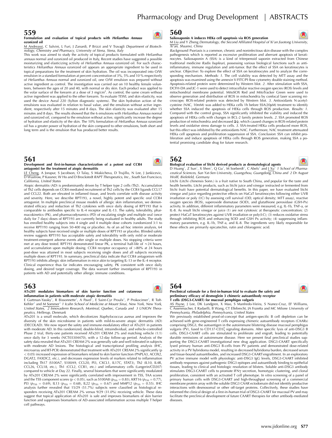# Pharmacology and Drug Development | ABSTRACTS

#### 559

#### Formulation and evaluation of topical products with Helianthus Annuus ozonized oil

M Andreassi, C Salvini, L Furi, J Zanardi, P Brizzi and V Travagli Department of Biotech-

nology, Chemistry and Pharmacy, University of Siena, Siena, Italy<br>This work was aimed to study the activity of topical products formulated with Helianthus annuus normal and ozonized oil produced in Italy, Recent studies have suggested a possible moisturizing and elasticizing activity of Helianthus Annuus ozonized oil. For such characteristics Helianthus Annuus ozonized oil appears an appropriate ingredient to be used in topical preparations for the treatment of skin hydration. The oil was incorporated into O/W emulsion in a standard formulation at percent concentration of 3%, 5% and 10 % respectively of Helianthus Annuus normal and ozonized oil, one O/W emulsion was prepared without active ingredient as control. The investigation was carried out on 10 healthy female volunteers, between the ages of 20 and 40, with normal or dry skin. Each product was applied to the volar surface of the forearm at a dose of 3 mg/cm<sup>2</sup>. As control, the same cream without active ingredient was applied to the other forearm. To evaluate TEWL and skin elasticity, was used the device Aveal 220 (Sylton diagnostic systems). The skin hydration action of the emulsions was evaluated in relation to basal value, and the emulsion without active ingredient, respectively after 15 minutes and 8 days. The skin elasticity was evaluated after 15 minutes and 8 days. The results showed that the 6 emulsions with Helianthus Annuus normal and ozonized oil, compared to the emulsion without active, significantly increase the degree of hydration and elasticity of the skin. The 10% formulation of Helianthus Annuus ozonized oil has a greater power of hydration of the skin compared to other emulsions, both short and long term and is the emulsion that has produced better results.

#### 561

#### Development and first-in-human characterization of a potent oral CCR4 antagonist for the treatment of atopic dermatitis

LE Cheng, A Jorapur, S Jacobson, O Talay, S Miakicheva, D Trujillo, N Lee, J Jankicevic, D Wustrow, P Kassner, W Ho and D Brockstedt RAPT Therapeutics, Inc., South San Francisco, California, United States

Atopic dermatitis (AD) is predominantly driven by T helper type 2 cells (Th2). Accumulation of Th2 cells depends on CCR4-mediated recruitment of Th2 cells by the CCR4 ligands CCL17 and CCL22. Both are elevated in inflamed tissue, and levels correlate with disease activity and severity. Here, we describe RPT193, a novel, highly potent and specific oral CCR4 antagonist. In multiple preclinical mouse models of allergic skin inflammation, we demonstrated efficacy and reduction of Th2 cytokines with once daily dosing of RPT193 that is comparable to antibodies specific to IL-4 receptor and IL-13. The safety, tolerability, pharmacokinetics (PK), and pharmacodynamics (PD) of escalating single and multiple oral (once daily for 7 days) doses of RPT193 are currently being evaluated in healthy adults. The study has enrolled healthy subjects into 4 single and 4 multiple dose cohorts (randomized 3:1 to receive RPT193 ranging from 50-400 mg or placebo). As of an ad hoc interim analysis, 64 healthy subjects have received single or multiple doses of RPT193 or placebo. Blinded safety review suggests RPT193 has acceptable safety and tolerability with only mild or moderate treatment-emergent adverse events after single or multiple doses. No stopping criteria were met at any dose tested. RPT193 demonstrated linear PK, a terminal half-life of  $\sim$  24 hours, and accumulation upon multiple dosing. CCR4 receptor occupancy of >80% at 24 hours post-dose was attained in most subjects receiving single doses and all subjects receiving multiple doses of RPT193. In summary, preclinical data indicate that CCR4 antagonism with RPT193 inhibits allergic skin inflammation in mice akin to targeting IL-13 or the IL-4 receptor. Clinical experience thus far indicates encouraging safety, PK consistent with once daily dosing, and desired target coverage. The data warrant further investigation of RPT193 in patients with AD and potentially other allergic immune conditions.

# 563

# ATx201 modulates biomarkers of skin barrier function and cutaneous

**inflammation in patients with moderate atopic dermatitis**<br>E Guttman-Yassky<sup>1</sup>, R Bissonnette<sup>2</sup>, A Pavel<sup>1</sup>, E Saint-Cyr Proulx<sup>2</sup>, P Prokocimer<sup>3</sup>, R Toft-Kehler<sup>3</sup> and M Sommer<sup>3</sup> 1 Icahn School of Medicine at Mount Sinai, New York, New York, United States, 2 Innovaderm Research, Montreal, Quebec, Canada and 3 UNION Therapeutics, Hellerup, Denmark

ATx201 is a small molecule, which decolonizes Staphylococcus aureus and improves the diversity of the skin microbiome in patients with mild-to-severe atopic dermatitis (AD) (DECOLAD). We now report the safety and immune-modulatory effect of ATx201 in patients with moderate AD. In this randomized, double-blind, intraindividual, and vehicle-controlled Phase 2 trial, thirty-one patients received ATx201 CREAM 2% and matching vehicle (1:1) once daily for 3 weeks (NCT03304470), with a 12-day follow-up period. Analysis of the safety data revealed that ATx201 CREAM 2% was generally safe and well-tolerated in subjects with moderate AD lesions. The histological and transcriptional profiling analysis (IHC, microarray and RT-PCR) demonstrated that treatment with ATx201 CREAM 2% significantly (p < 0.05) increased expression of biomarkers related to skin barrier function (PNPLA3, ACOX2, DGAT2, FAXDC2, etc.), and decreases expression levels of markers related to inflammation including Th17 (S100A7, S100A9, CCL20, PI3, CXCL1, IL17C, STAT3), Th2 (IL10, IL4R, CCL26, CCL18, etc.), Th1 (CCL2, CCR1, etc.) and inflammatory cells (Langerin/CD207) compared to vehicle at Day 22. Finally, several biomarkers that were significantly modulated by ATx201 CREAM 2% were significantly correlated with improvement in TSS, TAA scores and the TSS component scores ( $\dot{p}$  < 0.05), such as S100A8 ( $\rho_{TSS}$  = 0.83), KRT16 ( $\rho_{TSS}$  = 0.77), PI3 ( $\rho_{\rm TSS} =$  0.69), IL13 ( $\rho_{\rm TSS} =$  0.68), IL22 ( $\rho_{\rm TSS} =$  0.67) and MMP12 ( $\rho_{\rm TSS} =$  0.55). IHC analysis further revealed that 15/29 (51.7%) subjects were classified as histological responders receiving ATx201 CREAM 2% versus 9/29 (31.0%) receiving vehicle. These data suggest that topical application of ATx201 is safe and improves biomarkers of skin barrier function and suppresses biomarkers of AD-associated inflammation across multiple T helper cell pathways.

#### 560

 $\left( \blacksquare \right)$ 

#### Saikosaponin A induces HEKa cell apoptosis via ROS generation

M Liu and Y Zheng Dermatology, the Second Affiliated Hospital of Xi'an Jiaotong University,



Xi'an, Shaanxi, China Background: Psoriasis is a common, chronic and noninfectious skin disease with the complex pathogenesis which is reported as excessive proliferation and aberrant apoptosis of keratinocytes. Saikosaponin A (SSA) is a kind of triterpenoid saponin extracted from Chinese traditional medicine Radix bupleuri, possessing various biological functions such as antiinflammatory, immune regulation and anti-tumor. But the effect of SSA on keratinocytes is unclear. Objective: To explore the effect of SSA on keratinocytes and to analyze the corresponding mechanism. Methods: 1. The cell viability was detected by MTT assay and the apoptosis was examined using the annexin V-FITC/PI flow cytometry double staining method. Apoptosis-related protein were determined by Western blot. 2. After stimulation with SSA, DCFH-DA and JC-1 were used to detect intracellular reactive oxygen species (ROS) levels and mitochondrial membrane potential. MitoSOX Red and MitoTracker Green were used to observe generation and distribution of ROS in mitochondria by confocal laser scanning microscope; ROS-related protein was detected by Western blot. 3. Antioxidants N-acetylcysteine (NAC, 10mM) was added to HEKa cells 1h before SSA(20µM) treatment to identify whether SSA induced the apoptosis of HEKa cells through ROS production. Results:  $1$ . Compared with the control group, SSA significantly inhibited the viability and induced the apoptosis of HEKa cells with changes in BCL-2 family protein levels. 2. SSA promoted ROS production of mitochondria and decreased Δψ, which caused changes in ROS-related protein<br>levels and oxidative stress damage to cells. 3. SSA-treated HEKa cells produced more ROS, but this effect was inhibited by the antioxidants NAC. Furthermore, NAC treatment attenuated HEKa cell apoptosis and proliferation suppression of SSA. Conclusion: SSA can inhibit proliferation and induce apoptosis of HEKa cells through ROS generation, making SSA a potential promising candidate drug for future research.

| ie<br>٠<br> |
|-------------|

 $\blacksquare$ 

#### ogical evaluation of litchi derived products as dermatological agents

D Huang<sup>1</sup>, Z Sun<sup>1</sup>, X Shen<sup>1</sup>, Q Gu<sup>1</sup>, M Soeberdt<sup>2</sup>, C Abels<sup>2</sup> and J Xu<sup>1</sup> 1 School of Pharmaceutical Sciences, Sun Yat-Sen University, Guangzhou, Guangdong, China and 2 Dr August Wolff, Bielefeld, Germany

Litchi (Litchi chinensis Sonn.) is a fruit native to South China, and popular for the taste and health benefits. Litchi products, such as litchi juice and vinegar (extracted or fermented from litchi fruit) have potential dermatological benefits. In this paper, we have evaluated litchi vinegar and juice regarding protective effects on HaCaT keratinocytes following either UVB irradiation or poly (I:C) by assessing cell survival (OD, optical density; MTT assay), reactive oxygen species (ROS), superoxide dismutase (SOD), and glutathione peroxidase (GSH-Px) activity. In addition, different inflammatory parameters were measured, e.g. IL-1b, TNF-a, or IL-8. As result litchi vinegar or juice (1) are not cytotoxic at therapeutic concentration; (2) protect HaCaT keratinocytes against UVB irradiation or poly(I:C); (3) reduces oxidative stress through inhibiting ROS and enhancing SOD and GSH Px activity; (4) suppressing inflammatory parameters, e.g. IL-1b, TNF-a, and IL-8. The ingredients very likely responsible for these effects are primarily epicatechin, rutin and chlorogenic acid.



#### Preclinical rationale for a first-in-human trial to evaluate the safety and preliminary efficacy of desmoglein 3 chimeric autoantibody receptor

#### T cells (DSG3-CAART) for mucosal pemphigus vulgaris

<u>AS Payne</u>, J Lee, DK Lundgren, X Mao, S Manfredo-Vieira, S Nunez-Cruz, EF Williams,<br>C Assenmacher, E Radaelli, B Wang, CT Ellebrecht, JA Fraietta and MC Milone *University of* Pennsylvania, Philadelphia, Pennsylvania, United States

We previously established proof-of-concept that antigen-specific B cell depletion can be achieved with gene-engineered T cells expressing chimeric autoantibody receptors (CAARs) comprising DSG3, the autoantigen in the autoimmune blistering disease mucosal pemphigus vulgaris (PV), fused to CD137-CD3 $\zeta$  signaling domains. After specific lysis of anti-DSG3 B cells, DSG3-CAART cells are stimulated to proliferate and engraft, leading to potentially durable remissions of autoimmune disease. Here we present final preclinical studies supporting the DSG3-CAART investigational new drug application. DSG3-CAART specifically lysed primary human anti-DSG3 B-cells from PV patients and demonstrated dose-related activity in a PV hybridoma model, resulting in decreased hybridoma burden, decreased serum and tissue-bound autoantibodies, and increased DSG3-CAART engraftment. In an exploratory PV active immune model with physiologic anti-DSG3 IgG levels, DSG3-CAART inhibited antibody responses against pathogenic DSG3 epitopes and autoantibody binding to epithelial tissues, leading to clinical and histologic resolution of blisters. Soluble anti-DSG3 antibody stimulates DSG3-CAART cells to promote IFN $\gamma$  secretion, homotypic clustering, and clonal proliferation, consistent with an activated T cell phenotype. In vitro screening of a panel of primary human cells with DSG3-CAART and high-throughput screening of a commercial membrane protein array with the soluble DSG3 CAAR ectodomain did not identify productive interactions with desmosomal or other off-target proteins. Collectively, these studies have informed the clinical design of a first-in-human trial of DSG3-CAART for mucosal PV and may facilitate the preclinical development of future CAART therapies for other antibody-mediated diseases.

 $\bullet$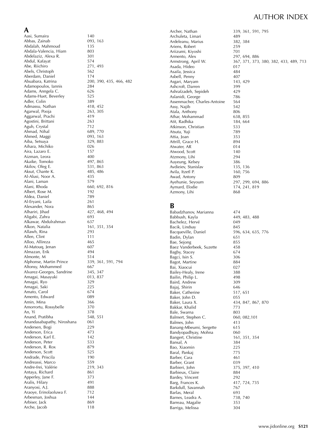A

Aasi, Sumaira 140 Abbas, Zainab Abdalah, Mahmoud 135 Abdala-Valencia, Hiam Abdelaziz, Alexa R. 301<br>Abdul, Kafayat 574 Abdul, Kafayat 574 Abe, Riichiro 271<br>Abels, Christoph 562 Abels, Christoph 562<br>Aberdam, Daniel 174 Aberdam, Daniel<br>Abuabara, Katrina Adamopoulos, Iannis Adams, Anngela C. 626<br>Adams-Huet, Beverley 525 Adams-Huet, Beverley 525 Adler, Colin (389)<br>Admassu, Nathan (418, 452) Admassu, Nathan 118, 452<br>Agarwal, Pooia 1263, 305 Agarwal, Pooja Aggarwal, Prachi 419 Agostini, Brittani Aguh, Crystal 712 Ahmad, Nihal Ahmed, Maggi 093, 163 Aiba, Setsuya Aihara, Michiko 126<br>Aira, Lazaro E. 157 Aira, Lazaro E. (157)<br>Aizman, Leora (1684–1690) Aizman, Leora 400 Akaike, Tomoko 497, 865 Akilov, Oleg E. 531, 863<br>Aksut. Chante K. 485, 486 Aksut, Chante K. 485,<br>Al-Alusi, Noor A. 435 Al-Alusi, Noor A. 435<br>Alani, Laman 579 Alani, Laman<br>Alani, Rhoda Albert, Rose M. Aldea, Daniel 1989<br>Al-Eryani, Laila 1982 Al-Eryani, Laila Alexander, Nora 1996 865<br>Alhariri, Jihad 127 Aligabi, Zahra 693 Alkawar, Abdulrahman<br>Alkon, Natalia Allawh, Rina 1933<br>Allen, Clint 111 Allen, Clint Alloo, Allireza (465)<br>Al-Matoug, Jenan (467) Al-Matouq, Jenan 607<br>Almazan, Frik 494 Almazan, Erik 1944<br>Almonte, M 514 Almonte, M<br>Alphonse, Martin Prince 339, 361, 591, 794 Alphonse, Martin Prince Altonsy, Mohammed 667<br>Alvarez-Georges, Sandrine 345, 347 Alvarez-Georges, Sandrine 345, 347<br>Amagai, Masayuki 613, 837 Amagai, Masayuki 013, 837 Amagai, Ryo<sup>1</sup> 329<br>Amagai Saki 325 Amagai, Saki 225 Amato, Carol 674<br>Amento, Edward 689 Amento, Edward Amin, Mina 366 Amorrortu, Rossybelle An, Yi 378 Anand, Pratibha Anandasabapathy, Niroshana 061<br>Andersen. Bogi 229 Andersen, Bogi<br>Anderson, Frica (173) Anderson, Erica 473<br>Anderson, Karl E. 142 Anderson, Karl E. 142<br>Anderson. Peter 533 Anderson, Peter Anderson, R. Rox 879<br>Anderson, Scott 525 Anderson, Scott Andrade, Priscila 190<br>Andreassi, Marco 559 Andreassi, Marco 559<br>Andre-frei, Valérie 219, 343 Andre-frei, Valérie Antaya, Richard 861 Apperley, Jane F. 373<br>Aralis, Hilary 491 Aralis, Hilary 191<br>Aranyosi, A.J. 1888 Aranyosi, A.J. 888<br>Araove Frinolaoluwa E 712 Araoye, Erinolaoluwa F. 2712<br>Arbesman, Joshua 144 Arbesman, Joshua 144<br>Arbiser Jack 1369 Arbiser, Jack 869<br>Arche, Jacob 118 Arche, Jacob

200, 390, 435, 466, 482<br>284 660, 692, 816<br>192 427, 468, 494 161, 351, 354

Archer, Nathan 339, 361, 591, 795 Archuleta, Limari (1898)<br>Ardeleanu, Marius (1892, 1882, 1898) Ardeleanu, Marius 382,<br>Ariens, Robert 259 Ariens, Robert 259<br>Ariizumi, Kiyoshi 201 Ariizumi, Kiyoshi 701 Armento, Alex<br>Armstrong, April W. 367, 371, 373, 380, 382, 433, 489, 713<br>017 Asada, Hideo Asaila, Jessica (1848)<br>Asbell, Penny (1840) Asbell, Penny 407<br>Asgari, Maryam 143, 429 Asgari, Maryam 143<br>Ashcroft, Darren 1999 Ashcroft, Darren Ashrafzadeh, Sepideh (429)<br>Aslanidi, George (487) Aslanidi, George Assenmacher, Charles-Antoine 564<br>Assy, Najib 542 Assy, Najib 542<br>Atala, Anthony 606 Atala, Anthony<br>Athar, Mohammad 638, 855 Athar, Mohammad Atit, Radhika 184, 664 Atkinson, Christian 533<br>Atsuta, Yuii 789 Atsuta, Yuji 789 Attia, Joan 353<br>Attrill. Grace H. 394 Attrill, Grace H. 894<br>Atwater AR 614 Atwater, AR 014<br>Atwood, Scott 140 Atwood, Scott 140<br>Atzmony. Lihi 294 Atzmony, Lihi Auyeung, Kelsey 1386<br>Avdieiev, Stanislav 135, 136 Avdieiev, Stanislav Avila, Itzetl P. (160, 756)<br>Awad Antony (160, 809) Awad, Antony<br>Ayehunie, Seyoum 297, 299, 694, 886<br>174, 241, 819 Aymard, Elodie Azmony, Lihi 868 B Babadzhanov, Marianna 474 Babbush, Kayla (449, 483, 488)<br>Bachelez, Hervé (149) Bachelez, Hervé Bacik, Lindsay 845<br>Bacqueville, Daniel 596 596, 634, 635, 776 Badin, Dylan 651<br>Bae, Sejong 655 Bae, Sejong 855<br>Baez Vanderbeek, Suzette 458 Baez Vanderbeek, Suzette 458<br>Bagby, Stacey 674 Bagby, Stacey 674<br>Bagci, Isin S. 306 Bagci, Isin S. 306<br>Bagot Martine 384 Bagot, Martine 884 Bai, Xiaocui 027 Bailey-Healy, Irene 388<br>Bailin, Philip L. 498 Bailin, Philip L.<br>Baird, Andrew 309 Baird, Andrew Bajaj, Shirin 646<br>Baker, Catherine 517, 651 Baker, Catherine Baker, John D. 055<br>Baker, Laura X. 434 434, 847, 867, 870 Bakkar, Khalid 773 Bale, Swarna 803<br>Balmert, Stephen C. 660, 082,101 Balmert, Stephen C. 060,<br>Balmes, John 413 Balmes, John 413 Banang-Mbeumi, Sergette 615 Bandyopadhyay, Mohna 060<br>Bangert, Christine 161, 351, 354 Bangert, Christine Bansal, A 384<br>Bao, Xiaomin 225 Bao, Xiaomin 225 Baral, Pankaj 775 Barber, Cara<br>
Barber, Grant<br>
039 Barber, Grant<br>Barbieri, John 375, 397, 410<br>884 Barbieux, Claire 6884<br>Bardev Vincent 1992 Bardey, Vincent 292<br>Barg, Frances K. 417, 724, 735 Barg, Frances K. 417<br>Barkdull Savannah 767 Barkdull, Savannah 767<br>Barlas, Meral 693 Barlas, Meral 693<br>Barnes. Leadra A. 693 738. 740 Barnes, Leadra A. Barreau, Magalie 353<br>Barriga, Melissa 304

Barriga, Melissa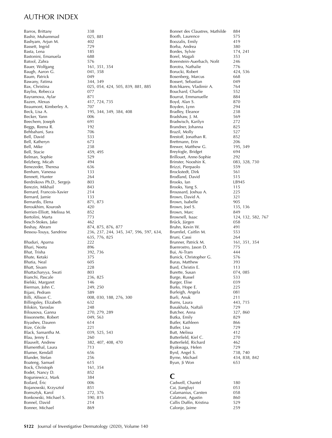Barros, Brittany 338 Bashir, Muhammad 025<br>Bashyam, Ariun M. 402 Bashyam, Arjun M. 402<br>Bassett, Ingrid 729 Bassett, Ingrid 729<br>Basta, Lena 185 Basta, Lena Bastonini, Emanuela 688<br>Batool, Zahra 576 Batool, Zahra<br>Bauer, Wolfgang (161, 351, 354) Bauer, Wolfgang 161, 351<br>Baugh, Aaron G. (161, 358) Baugh, Aaron G. Baum, Patrick 049<br>Bawany, Fatima 344, 349 Bawany, Fatima<br>Bax, Christina Bayliss, Rebecca 077 Bayramova, Aylar Bazen, Alexus 417, 724, 735<br>Beaumont Kimberley A 707 Beaumont, Kimberley A.<br>Beck, Lisa A. Becker, Yann 006 Beechem, Joseph 691<br>Beggs, Reena R. 691 Beggs, Reena R. (1928)<br>Behbahani, Sara (1976) Behbahani, Sara 706 Bell, David 533 Bell, Katheryn 673<br>Bell, Mike 238 Bell, Mike 238<br>Bell, Stacie 259, 495 Bell, Stacie 459<br>Belman Sophie 459 Belman, Sophie Belzberg, Micah 494<br>Benezeder, Theresa 636 Benezeder, Theresa Benham, Vanessa 133<br>Bennett, Hunter 1264 Bennett, Hunter 264<br>Berdnikovs Ph.D. Sergeis 803 Berdnikovs Ph.D., Sergejs Berezin, Mikhail 843 Bernard, Francois-Xavier 214 Bernard, Jamie 133<br>Bernardis. Elena 133 Bernardis, Elena 871,<br>Beroukhim, Kourosh 420 Beroukhim, Kourosh (420)<br>Berrien-Elliott, Melissa M. (4852) Berrien-Elliott, Melissa M. Bertolini, Marta 773<br>Besch-Stokes, Jake 462 Besch-Stokes, Jake Beshay, Abram 874, 875, 876, 877<br>Bessou-Touya, Sandrine 236, 237, 244, 345 Bhaduri, Aparna *222*<br>Bhari, Neetu *896* Bhari, Neetu 896<br>Bhat, Trisha 392, 736 Bhat, Trisha<br>Bhate, Ketaki 375 Bhate, Ketaki 375<br>Bhatia Neal 605 Bhatia, Neal 605<br>Bhatt, Sivam 228 Bhatt, Sivam 228 Bhattacharyya, Swati 803<br>Bianchi, Pascale 236, 825 Bianchi, Pascale Bielski, Margaret 146 Bierman, John C. 249, 250<br>Bijani, Pedram 589 Bijani, Pedram<br>Billi, Allison C. Billingsley, Elizabeth 632<br>Bilokin, Yaroslav 748 Bilokin, Yaroslav 248 Bilousova, Ganna (270, 279)<br>Bissonnette, Robert (29, 563) Bissonnette, Robert 049,<br>Biyashev, Dauren 614 Biyashev, Dauren Bize, Cécile 221 Black, Samantha M. (139) 039, 525, 543<br>Blau, Jenny E. (260) Blau, Jenny E.<br>Blauvelt, Andrew Blumenthal, Laura Blumer, Kendall 656 Blunder, Stefan 256 Boateng, Samuel 615<br>Bock, Christoph 161, 354 Bock, Christoph 161<br>Rođet Nancy D 352 Bodet, Nancy D. 852<br>Boguniewicz Mark 384 Boguniewicz, Mark 384<br>Boilard, Éric 1986 Boilard, Éric 006<br>Boianowski Krzysztof 651 Bojanowski, Krzysztof 851<br>Bomsztyk, Karol 272, 376 Bomsztyk, Karol<br>Bonkowski, Michael S. 390, 815 Bonkowski, Michael S. Bonnel, David 214<br>Bonner, Michael 269 Bonner, Michael

Bax, Christina 025, 054, 424, 505, 839, 881, 885 195, 344, 349, 384, 408 Bessou-Touya, Sandrine 236, 237, 244, 345, 347, 596, 597, 634, 635, 776, 825 008, 030, 188, 276, 300 382, 407, 408, 470<br>713

Bonnet des Claustres, Mathilde 884<br>Booth, Laurence 575 Booth, Laurence 575<br>Boozalis, Emily 419 Boozalis, Emily 419<br>Borba Andrea 380 Borba, Andrea 380<br>Bordes, Sylvie 174, 241 Bordes, Sylvie Borel, Magali 353<br>Borenstein-Auerbach, Nofit 246 Borenstein-Auerbach, Nofit 246<br>Borotra, Nathalie 776 Borotra, Nathalie Borucki, Robert 424, 536 Bosenberg, Marcus 668<br>Bossert, Sebastian 649 Bossert, Sebastian 1949<br>Botchkarev Vladimir A 1764 Botchkarev, Vladimir A. Bouchard, Charlie 552<br>Bourrat, Emmanuelle 6884 Bourrat, Emmanuelle Boyd, Alan S. 870<br>Boyden, Lynn 394 Boyden, Lynn Bradley, Eleanor 238 Bradshaw, J. M. 569 Bradwisch, Karilyn 272 Brandner, Johanna (825)<br>Brazil, Molly (527) Brazil, Molly 527<br>Brestoff, Jonathan R. 652 Brestoff, Jonathan R. 652<br>Brettmann. Frin 206 Brettmann, Erin 206<br>Brewer, Matthew G. 195, 349 Brewer, Matthew G. (195, 196)<br>Breyfogle, Bridget (1994) Breyfogle, Bridget 694<br>Brillouet. Anne-Sophie 292 Brillouet, Anne-Sophie Brinster, Nooshin K. (1983, 328, 730)<br>Brizzi, Pierpaolo (1959) Brizzi, Pierpaolo 559 Brockstedt, Dirk 561<br>Brodland, David 515 Brodland, David 515<br>Brooks, Jan 18945 Brooks, Ian Brooks, Yang S. 115 Broussard, Joshua A. 225<br>Brown, David A. 321 Brown, David A. 321<br>Brown, Isabelle 305 Brown, Isabelle 905<br>Brown, Joel S. 135, 136 Brown, Joel S. (135, 135)<br>Brown, Marc (139) Brown, Marc Brownell, Isaac 124, 132, 582, 767<br>Brück, Jürgen 158 Brück, Jürgen Bruhn, Kevin W. 491<br>Brumfiel, Caitlin M. 553 Brumfiel, Caitlin M. Bruni, Cassi 264 Brunner, Patrick M. 161<br>Buenrostro, Jason D. 275 Buenrostro, Jason D. 775<br>Bui. Ai-Tram 444 Bui, Ai-Tram 444<br>Bunick, Christopher G. 576 Bunick, Christopher G. 576<br>Buras Matthew 393 Buras, Matthew 393<br>Burd. Christin F. 113 Burd, Christin E. 113<br>Burette, Susan 1074, 085 Burette, Susan 674<br>Burge, Russel 633 Burge, Russel 533<br>Burger, Elise 639 Burger, Elise Burks, Hope E. 225<br>Burleigh, Angela 681 Burleigh, Angela Burli, Anuk 211 Burns, Laura 443, 715 Busakhala, Naftali 729 Butcher, Anna 327<br>Butka Emily 329 Butka, Emily 829<br>Butler, Kathleen 866 Butler, Kathleen 866<br>Butler, Lisa 729 Butler, Lisa Butt, Melissa and 412<br>Butterfield, Kiel C. 270 Butterfield, Kiel C. Butterfield, Richard 462<br>Byakwaga, Helen 729 Byakwaga, Helen 729<br>Byrd, Angel S. 738, 740 Byrd, Angel S. 738, 740 Byrne, Michael Byun, Ji Won 653 Cadwell, Chantel 180

# $C$ <sub>Ca</sub>

| Cadwell, Chantel        | 180 |
|-------------------------|-----|
| Cai, Jiangluyi          | 053 |
| Calamanius, Carsten     | 058 |
| Calatroni, Agustin      | 860 |
| Callis Duffin, Kristina | 529 |
| Calonje, Jaime          | 259 |
|                         |     |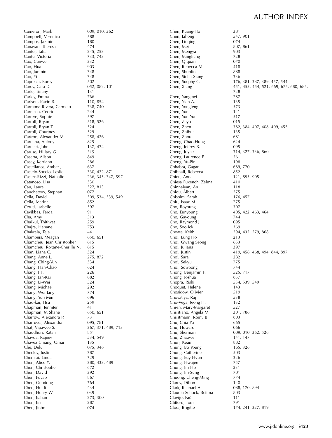Cameron, Mark 009, 010, 362<br>
Campbell, Veronica 588 Campbell, Veronica 588<br>Campos. Iazmin 180 Campos, Jazmin 180<br>Canavan, Theresa 474 Canavan, Theresa 474<br>Canter, Talia 245, 253 Canter, Talia 245, 253<br>Cantu, Victoria 233, 743 Cantu, Victoria 733<br>Cao, Cunwei 332 Cao, Cunwei 332<br>Cao, Hua 303 Cao, Hua Cao, Junmin 348<br>Cao, Yi 348 Cao, Yi 348<br>Capozza, Korey 502 Capozza, Korey 502<br>Carey, Cara D. 652, 082, 101 Carey, Cara D. Carle, Tiffany 131<br>Carlev. Emma 137 Carley, Emma<br>Carlson, Kacie R. 110, 854 Carlson, Kacie R. 110, 854<br>Carmona-Rivera, Carmelo 738, 740 Carmona-Rivera, Carmelo Carrasco, Cedric 244<br>
Carrere, Sophie 597 Carrere, Sophie 597 Carroll, Bryan 518, 526 Carroll, Bryan T.<br>
Carroll, Courtney
529 Carroll, Courtney 529<br>Cartron, Alexander M. 258, 426 Cartron, Alexander M. 258,<br>Caruana, Antony 825 Caruana, Antony 825<br>Carucci, John 137, 474 Carucci, John 137<br>Caruso, Hillary G. 515 Caruso, Hillary G. 515<br>Caserta, Alison 649 Caserta, Alison Casey, Kerriann 286<br>Castellanos. Amber I. 637 Castellanos, Amber J. 637<br>Castelo-Soccio, Leslie 330, 422, 871 Castelo-Soccio, Leslie 330, 422, 871<br>Castex-Rizzi, Nathalie 236, 345, 347, 597 Castex-Rizzi, Nathalie 236,<br>Catanoso, Lisa 330 Catanoso, Lisa 330<br>Cau, Laura 327, 813 Cau, Laura Caucheteux, Stephan 077<br>Cella, David 509 Cella, Marina 652<br>Ceruti Isabelle 697 Ceruti, Isabelle 597<br>Cevikbas. Ferda 5911 Cevikbas, Ferda Cha, Amy 513<br>Chaikul, Thitiwat 259 Chaikul, Thitiwat 259<br>Chaira, Hanane 753 Chajra, Hanane 753<br>Chakrala. Teia 7441 Chakrala, Teja 441 Chambers, Meagan 650, 651 Chamcheu, Jean Christopher 615 Chamcheu, Roxane-Cherille N. 615<br>Chan Liana C. 324 Chan, Liana C. 324<br>Chang, Anne L. 275, 872 Chang, Anne L. 275, 872 Chang, Ching-Yun 334 Chang, Han-Chao 624<br>Chang, I T. 226 Chang, J T. 226<br>Chang Jan-Kai 882 Chang, Jan-Kai 882<br>Chang, Li-Wei 524 Chang, Li-Wei Chang, Michael 292<br>Chang, Wei Ling 2774 Chang, Wei Ling 774 Chang, Yun Min 696 Chao-kai, Hsu 259 Chapman, Jennifer 411<br>Chapman, M Shane 650, 651 Chapman, M Shane Charrow, Alexandra P. 231<br>Charruyer, Alexandra 2095, 781 Charruyer, Alexandra<br>Chat, Vipawee S. Chaudhuri, Ratan 851<br>Chavda, Rajeev 534, 549 Chavda, Rajeev Chavez Chiang, Omar 135<br>Che, Delu 075, 346 Che, Delu Cheeley, Justin 387<br>Chemtai, Linda 729 Chemtai, Linda<br>Chen, Alice Y. Chen, Christopher 672<br>Chen, David 392 Chen, David 392<br>Chen, Fuvao 367 Chen, Fuyao 867<br>Chen, Guodong 764 Chen, Guodong 764<br>Chen, Heidi 434  $\begin{array}{ccc}\n\text{Chen, Heidi} & & 434 \\
\text{Chen, Henry W} & & 039\n\end{array}$ Chen, Henry W. 039<br>Chen, Iiahan 273, 300 Chen, Jiahan Chen, Jin 287<br>Chen, Jinbo 074 Chen, Jinbo

509, 534, 539, 549<br>852 367, 371, 489, 713 380, 433, 489<br>672

Chen, Kuang-Ho 381<br>Chen, Lihong 547, 901 Chen, Lihong 547,<br>Chen, Liuging 674 Chen, Liuqing 074<br>Chen, Mei 807, 861 Chen, Mei 807<br>Chen, Mengya 903 Chen, Mengya Chen, Mingliang 728<br>Chen, Oiguan 670 Chen, Qiquan 070<br>Chen, Rebecca M 418 Chen, Rebecca M. Chen, Shunlin 888 Chen, Stella Xiang 336<br>
Chen, Suephy C. 176, Chen, Yangmei Chen, Yian A. 135<br>Chen, Yongfeng 573 Chen, Yongfeng Chen, Yun 121 Chen, Yun Yue 517 Chen, Zeyu 015<br>Chen, Zhen 382 Chen, Zhihua 135<br>Chen, Zhou 681 Chen, Zhou 681<br>Cheng, Chao-Hung 624 Cheng, Chao-Hung 624<br>Cheng Jeffrey B 695 Cheng, Jeffrey B.<br>Cheng, Joyce Cheng, Laurence E. Cheng, Yu-Pin 198<br>Chhabra. Gagan 198 689. 770 Chhabra, Gagan Chibnall, Rebecca 852<br>Chien, Anna 121 Chiesa Fuxench, Zelma 410 Chinnaiyan, Arul 118 Chiou, Albert 275<br>Chisolm, Sarah 176, 457 Chisolm, Sarah 176<br>Chiu, Isaac M 1775 Chiu, Isaac M. 775<br>Cho, Boyoung 307 Cho, Boyoung<br>Cho, Eunyoung Cho, Gayoung 744<br>Cho, Raymond J. (1995) Cho, Raymond J. (1995)<br>Cho, Soo Ick (1996) Cho, Soo Ick<br>Choate, Keith Choi, Eung Ho 213 Choi, Gwang Seong 653<br>Choi, Iuliana 653 Choi, Juliana<br>Choi, Justin Choi, Sara 282 Choi, Sekyu 775<br>Choi, Sowoong 744 Choi, Sowoong 744<br>Chong, Benjamin F. 525, 717 Chong, Benjamin F. 525<br>Chong, Joshua 857 Chong, Joshua<br>Chopra, Rishi Choquet, Helene 143<br>Chosidow, Olivier 519 Chosidow, Olivier 519<br>Chovatiya, Raj 538 Chovatiya, Raj Cho-Vega, Jeong H. 132 Chren, Mary-Margaret 527<br>Christiano, Angela M. 301, 786 Christiano, Angela M. 301<br>Christmann, Romy B. 303 Christmann, Romy B. 803<br>Chu, Chia-Yu 665 Chu, Chia-Yu Chu, Howard 066<br>Chu, Sherman 009 Chu, Zhaowei Chun, Keum 882<br>Chung, Bo Young 165, 326 Chung, Bo Young Chung, Catherine 503 Chung, Euy Hyun 326 Chung, Hwajee 757<br>Chung, Jin Ho 731 Chung, Jin Ho 231<br>Chung Jin-Sung 201 Chung, Jin-Sung 701<br>Chuong Cheng-Ming 774 Chuong, Cheng-Ming 774<br>Clarey, Dillon 120 Clarey, Dillon 120<br>Clark, Rachael A. (888, 170, 894) Clark, Rachael A. (288, 170, 898)<br>Claudia Schock, Bettina (2803) Claudia Schock, Bettina a 803<br>Claviio. Paúl 111 Clavijo, Paúl Clifford, Tom 791<br>Closs, Brigitte 174

Chen, Suephy C. 176, 381, 387, 389, 457, 544<br>Chen, Xiang 451, 453, 454, 521, 669, 675 451, 453, 454, 521, 669, 675, 680, 685, 728 382, 384, 407, 408, 409, 455<br>135 314, 327, 336, 860<br>561 121, 895, 905 405, 422, 463, 464 294, 432, 579, 868 419, 456, 468, 494, 844, 897<br>282 534, 539, 549 009, 010, 362, 526<br>141, 147 174, 241, 327, 819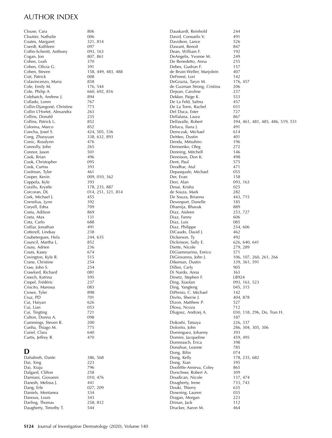Clouse, Cara Cloutier, Nathalie Coates, Margaret Coerdt, Kathleen Coffin-Schmitt, Anthony Cogan, Jon Cohen, Leah Cohen, Olivia G. Cohen, Steven Coit, Patrick Colavincenzo, Maria Cole, Emily M. Cole, Philip A Colebatch, Andrew J. Collado, Loren Collin-Djangoné, Christine Collin L'Hortet, Alexandra Collins, Donald Collins, Patrick L. Colonna, Marco Concha, Josef S. Cong, Zhaoyuan Conic, Rosalynn Connolly, John Connor, Jason Cook, Brian Cook, Christopher Cook, Curtiss Coolman, Tyler Cooper, Kevin Coppola, Kyle Corallo, Krystle Corcoran, DL Cork, Michael J. Cornelius, Lynn Coryell, Edna Costa, Adilson Costa, Max Cota, Carlo Cotliar, Jonathan Cotterell, Lindsay Coubetergues, Hela Council, Martha L. Cousy, Adrien Couts, Kasey Covington, Kyle R. 515 Crane, Christine 254 Craw, John S. Crawford, Richard Creech, Katrina Crepel, Frédéric Criscito, Maressa Crowe, Tyler Cruz, PD Cui, Haiyan Cui, Lian Cui, Tingting Culton, Donna A. Cummings, Steven R. Cunha, Thiago M. Curiel, Clara Curtis, Jeffrey R.

#### D

| Dahabreh, Dante       | 386 |
|-----------------------|-----|
| Dai, Xing             | 223 |
| Dai, Xiuju            | 796 |
| Dalgard, Clifton      | 258 |
| Damiani, Giovanni     | 010 |
| Danesh, Melissa J.    | 441 |
| Dang, Erle            | 027 |
| Daniels, Montanea     | 334 |
| Danoux, Louis         | 343 |
| Darling, Thomas       | 258 |
| Daugherty, Timothy T. | 544 |

| 006                  |               |                    |  |
|----------------------|---------------|--------------------|--|
|                      |               |                    |  |
| 321, 814<br>097      |               |                    |  |
|                      |               |                    |  |
| 093, 163<br>807, 861 |               |                    |  |
| 370                  |               |                    |  |
| 391                  |               |                    |  |
|                      |               | 158, 449, 483, 488 |  |
| 008                  |               |                    |  |
| 858                  |               |                    |  |
| 176, 544             |               |                    |  |
|                      | 660, 692, 816 |                    |  |
| 894                  |               |                    |  |
| 767                  |               |                    |  |
| 773                  |               |                    |  |
| 263                  |               |                    |  |
| 235                  |               |                    |  |
| 852                  |               |                    |  |
| 852                  |               |                    |  |
|                      | 424, 505, 536 |                    |  |
|                      | 338, 632, 893 |                    |  |
| 476                  |               |                    |  |
| 265                  |               |                    |  |
| 501                  |               |                    |  |
| 496                  |               |                    |  |
| 095                  |               |                    |  |
| 393                  |               |                    |  |
| 461                  |               |                    |  |
|                      | 009, 010, 362 |                    |  |
| 393                  |               |                    |  |
|                      | 178, 235, 887 |                    |  |
|                      |               | 014, 251, 321, 814 |  |
| 455                  |               |                    |  |
| 392                  |               |                    |  |
| 709                  |               |                    |  |
| 869                  |               |                    |  |
| 131                  |               |                    |  |
| 688                  |               |                    |  |
| 491                  |               |                    |  |
| 238                  |               |                    |  |
| 244, 635             |               |                    |  |
| 852                  |               |                    |  |
| 236                  |               |                    |  |
| 674                  |               |                    |  |
| 515                  |               |                    |  |
|                      |               |                    |  |
| 254                  |               |                    |  |
| 254                  |               |                    |  |
| 081                  |               |                    |  |
| 595                  |               |                    |  |
| 237                  |               |                    |  |
| 083                  |               |                    |  |
| 898                  |               |                    |  |
| 701                  |               |                    |  |
| 626                  |               |                    |  |
| 053                  |               |                    |  |
| 721                  |               |                    |  |
| 098                  |               |                    |  |
| 200                  |               |                    |  |
| 775                  |               |                    |  |
| 640                  |               |                    |  |
| 470                  |               |                    |  |
|                      |               |                    |  |
|                      |               |                    |  |
| 386, 568             |               |                    |  |

| Dauskardt, Reinhold        | 244                               |
|----------------------------|-----------------------------------|
| David, Consuelo V.         | 491                               |
| Davidson, Lance            | 526                               |
| Dawant, Benoit             | 847                               |
| Dean, William F.           | 192                               |
| DeAngelis, Yvonne M.       | 249                               |
| De Benedetto, Anna         | 255                               |
| Debes, Gudrun F.           | 157                               |
| de Bruin-Weller, Marjolein | 407                               |
| DeFreest, Lori             | 142                               |
| DeGrazia, Taryn M.         | 176, 457                          |
| de Guzman Strong, Cristina | 206                               |
| Dejean, Caroline           | 237                               |
| Dekker, Paige K.           | 553                               |
| De La Feld, Salma          | 457                               |
|                            | 031                               |
| De La Torre, Rachel        |                                   |
| Del Duca, Ester            | 727                               |
| Dellalana, Laura           | 867                               |
| Dellavalle, Robert         | 394, 461, 481, 485, 486, 519, 551 |
| Deluca, Ilana J.           | 491                               |
| Demczuk, Michael           | 614                               |
| DeMeo, Dustin              | 401                               |
| Denda, Mitsuhiro           | 196                               |
| Denisenko, Oleg            | 272                               |
| Denning, Mitchell          | 146                               |
| Dennison, Don K.           | 498                               |
| Dent, Paul                 | 575                               |
| Deodhar, Atul              | 471                               |
| Depasquale, Michael        | 055                               |
| Der, Evan                  | 158                               |
| Derr, Alan                 | 093, 163                          |
| Desai, Krisha              | 025                               |
| de Souza, Mark             | 282                               |
| De Souza, Brianna          | 443, 715                          |
| Devenport, Danelle         | 185                               |
| Dhamija, Bhavuk            | 889                               |
| Diaz, Aisleen              | 253, 727                          |
| Diaz, Fanny                | 606                               |
| Diaz, Luis                 | 085                               |
| Diaz, Philippe             | 254, 606                          |
| DiCaudo, David J.          | 462                               |
| Dickerson, Ty              | 492                               |
| Dickinson, Sally E.        | 626, 640, 641                     |
| Diette, Nicole             | 279, 289                          |
| DiGiammarino, Enrico       | 571                               |
|                            |                                   |
| DiGiovanna, John J.        | 106, 107, 260, 261, 266           |
| Dikeman, Dustin            | 339, 361, 591                     |
| Dillen, Carly              | 905                               |
| Di Nardo, Anna             | 363                               |
| Dinetz, Stephen F.         | LB924                             |
| Ding, Xiaolan              | 093, 163, 523                     |
| Ding, Yangfeng             | 045, 315                          |
| DiPersio, C. Michael       | 142                               |
| Divito, Sherrie J.         | 404, 878                          |
| Dizon, Matthew P.          | 527                               |
| Dlova, Ncoza               | 712                               |
| Dlugosz, Andrzej A.        | 030, 118, 296, Do, Tran H.        |
|                            | 187                               |
| Dokoshi, Tatsuya           | 226, 337                          |
| Dolorito, John             | 286, 304, 305, 306                |
| Dominguez, Johanny         | 393                               |
| Domire, Jacqueline         | 459, 495                          |
| Dommasch, Erica            | 398                               |
| Donahue, Leanne            | 785                               |
| Dong, Bilin                | 074                               |
| Dong, Kelly                | 178, 235, 682                     |
| Dong, Xian                 | 395                               |
| Doolittle-Amieva, Coley    | 865                               |
| Dorschner, Robert A.       | 309                               |
| Doudican, Nicole           | 137, 474                          |
| Dougherty, Irene           | 733, 743                          |
| Douki, Thierry             | 635                               |
| Downing, Lauren            | 035                               |
| Dragan, Morgan             | 223                               |
| Drinan, Jack               | 112                               |
| Drucker, Aaron M.          | 464                               |
|                            |                                   |

010, 476<br>441

 $\frac{0.17}{0.27}$ , 209

258, 812<br>544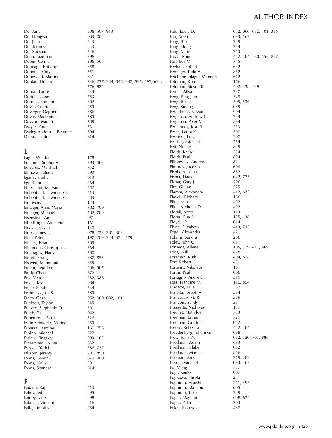Du, Amy Du, Hongyao Du, Juan Du, Tommy Du, Xueshan Duan, Juanjuan Dubin, Celina Dulmage, Brittany Dunnick, Cory Dunnwald, Martine Duplan, Helene Duprat, Laure Duriot, Leonor Duroux, Romain Duval, Cedric Duverger, Daphné Duvic, Madeleine Duvvuri, Murali

# E

Dwyer, Karen

Dzirasa, Kafui

Dyring-Andersen, Beatrice

Eagle, Whitby Ederaine, Sophia A. Edwards, Marshall Efimova, Tatiana<br>Egami, Shohei Ego, Kaori Ehteshami, Maryam Eichenfield, Lawrence F. Eichenfield, Lawrence F. Eid, Mary Einziger, Anne Marie Einziger, Michael Eisenstein, Anna Elbe-Burger, Adelheid Elcavage, Lara Elder, James T. Elias, Peter Eliceiri, Brian Ellebrecht, Christoph T. Elmaraghy, Hany Elmets, Craig Elsayed, Mahmoud Emam, Sepideh Emily, Chen Eng, Victor Engel, Tess Engle, Sarah Enriquez, Jose S. Erdos, Geza Erickson, Taylor Erjavec, Stephanie O. Frlich. Tal Ermentrout, Bard Eskin-Schwartz, Marina Esparza, Jasmine Espino, Michael Essien, Kingsley Estharabadi, Nima Estrada, Yeriel Etkzorn, Jeremy Evans, Conor Evans, Holly Evans, Spencer

# $\mathbf{F}$ <br>Eadadu Bai

898 816

254

| 003, 004<br>523<br>843<br>346<br>396                                           | 506, 507, 913 |                                               |  |                                         |  |
|--------------------------------------------------------------------------------|---------------|-----------------------------------------------|--|-----------------------------------------|--|
| 386, 568<br>858<br>551<br>831                                                  |               |                                               |  | 236, 237, 244, 345, 347, 596, 597, 634, |  |
| 776, 825<br>634<br>753<br>602<br>259<br>686<br>589<br>709<br>531<br>894<br>814 |               |                                               |  |                                         |  |
| 178<br>393, 462                                                                |               |                                               |  |                                         |  |
| 752<br>693                                                                     |               |                                               |  |                                         |  |
| 013<br>264                                                                     |               |                                               |  |                                         |  |
| 552                                                                            |               |                                               |  |                                         |  |
| 513<br>603                                                                     |               |                                               |  |                                         |  |
| 124                                                                            |               |                                               |  |                                         |  |
| 702, 709<br>702, 709                                                           |               |                                               |  |                                         |  |
| 051<br>161                                                                     |               |                                               |  |                                         |  |
| 130                                                                            |               |                                               |  |                                         |  |
|                                                                                |               | 078, 273, 281, 303<br>197, 209, 224, 374, 579 |  |                                         |  |
| 309                                                                            |               |                                               |  |                                         |  |
| 564<br>500                                                                     |               |                                               |  |                                         |  |
| 687, 855                                                                       |               |                                               |  |                                         |  |
| 855<br>506, 507                                                                |               |                                               |  |                                         |  |
| 672<br>282, 388                                                                |               |                                               |  |                                         |  |
| 904                                                                            |               |                                               |  |                                         |  |
| 334<br>589                                                                     |               |                                               |  |                                         |  |
| 245                                                                            |               | 052, 060, 082, 101                            |  |                                         |  |
| 301                                                                            |               |                                               |  |                                         |  |
| 042<br>526                                                                     |               |                                               |  |                                         |  |
| 259                                                                            |               |                                               |  |                                         |  |
| 160, 756<br>727                                                                |               |                                               |  |                                         |  |
| 093, 163<br>832                                                                |               |                                               |  |                                         |  |
| 386, 727                                                                       |               |                                               |  |                                         |  |
| 400, 890<br>879, 900                                                           |               |                                               |  |                                         |  |
| 501<br>614                                                                     |               |                                               |  |                                         |  |
|                                                                                |               |                                               |  |                                         |  |
|                                                                                |               |                                               |  |                                         |  |
| 413<br>895                                                                     |               |                                               |  |                                         |  |

 $\overline{z}$   $\overline{z}$   $\overline{z}$   $\overline{z}$   $\overline{z}$   $\overline{z}$   $\overline{z}$   $\overline{z}$   $\overline{z}$   $\overline{z}$   $\overline{z}$   $\overline{z}$   $\overline{z}$   $\overline{z}$   $\overline{z}$   $\overline{z}$   $\overline{z}$   $\overline{z}$   $\overline{z}$   $\overline{z}$   $\overline{z}$   $\overline{z}$   $\overline{z}$   $\overline{z}$   $\overline{$ 

| Falo, Louis D.                                  | 052, 060, 082, 101, 365 |
|-------------------------------------------------|-------------------------|
| Fan, Xueli                                      | 093, 163                |
| Fang, Bin                                       | 249                     |
| Fang, Hong                                      | 234                     |
| Fang, Milie                                     | 253                     |
| Farah, Ronda                                    | 442, 484, 530, 556, 832 |
| Fast, Eva M.                                    | 775                     |
| Feehan, Robert                                  | 632<br>852              |
| Fehniger, Todd A.<br>Feichtenschlager, Valentin | 672                     |
| Feldman, Ron                                    | 176                     |
| Feldman, Steven R.                              | 402, 438, 439           |
| Femia, Alisa                                    | 730                     |
| Feng, Bing-Jian                                 | 529                     |
| Feng, Rui                                       | 505, 536                |
| Feng, Suying                                    | 085                     |
| Fereidouni, Farzad                              | 904                     |
| Ferguson, Andrew L.                             | 324                     |
| Ferguson, Peter M.                              | 894                     |
| Fernandez, Jose R.                              | 233                     |
| Ferris, Laura K.                                | 500<br>200              |
| Ferrucci, Luigi<br>Fessing, Michael             | 764                     |
| Fett, Nicole                                    | 845                     |
| Fields, Kathy                                   | 254                     |
| Fields, Paul                                    | 894                     |
| Filipowicz, Andrew                              | 811                     |
| Fimbres, Jocelyn                                | 609                     |
| Fishbein, Anna                                  | 882                     |
| Fisher, David                                   | 042, 775                |
| Fisher, Gary J.                                 | 296                     |
| Fitz, Gillian                                   | 225                     |
| Flamm, Alexandra                                | 412, 632                |
| Flavell, Richard                                | 186                     |
| Flint, Ivan<br>Flint, Nicholas D.               | 492<br>492              |
| Florell, Scott                                  | 113                     |
| Flores, Elsa R.                                 | 135, 136                |
| Floyd, LP                                       | 014                     |
| Flynn, Elizabeth                                | 443, 715                |
| Fogel, Alexander                                | 421                     |
| Folarin, Sandra                                 | 266                     |
| Foley, John G.                                  | 811                     |
| Fonseca, Allene                                 | 105, 379, 411, 469      |
| Foos, Will T.                                   | 828                     |
| Foreman, Ruth                                   | 404, 878                |
| Fort, Robert<br>Fortelny, Nikolaus              | 431<br>161              |
| Fortin, Paul                                    | 006                     |
| Fortugno, Andrew                                | 519                     |
| Foss, Francine M.                               | 110, 854                |
| Fradette, Julie                                 | 587                     |
| Fraietta, Joseph A.                             | 564                     |
| Francesco, M. R.                                | 569                     |
| Francois, Sandy                                 | 381                     |
| Frazzette, Nicholas                             | 137                     |
| Frechet, Mathilde                               | 753                     |
| Freeman, Esther                                 | 729                     |
| Freeman, Gordon                                 | 042                     |
| Freese, Rebecca<br>Freudenberg, Johannes        | 442, 484<br>098         |
| Frew, John W.                                   | 062, 520, 703, 880      |
| Friedman, Adam                                  | 693                     |
| Friedman, Blake                                 | 082                     |
| Friedman, Marcia                                | 856                     |
| Frieman, Amy                                    | 279, 289                |
| Frisoli, Michael                                | 093, 163                |
| Fu, Meng                                        | 577                     |
| Fujii, Kento                                    | 007                     |
| Fujikawa, Hiroki                                | 271                     |
| Fujimoto, Atsushi                               | 271, 493                |
| Fujimoto, Manabu                                | 005                     |
| Fujimura, Taku<br>Fujita, Mayumi                | 329<br>608, 674         |
| Fujita, Yuka                                    | 203                     |
| Fukai, Kazuyoshi                                | 487                     |
|                                                 |                         |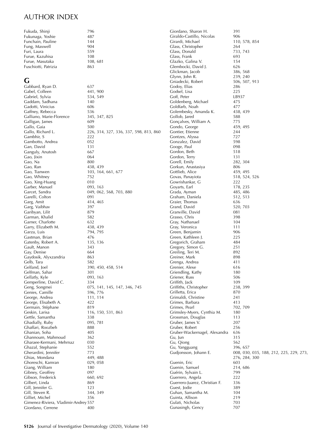Fukuda, Shinji 796 Fukunaga, Yoshie 487<br>Funchain. Pauline 144 Funchain, Pauline 144<br>Fung Maxwell 904 Fung, Maxwell 904<br>Furi, Laura 559 Furi, Laura Furue, Kazuhisa 108<br>Furue, Masutaka 108, 681 Furue, Masutaka Fuschiotti, Patrizia 863

# G

Gabbard, Ryan D. 637 Gabel, Colleen (1990)<br>Gabriel, Sylvia (1991)<br>6534, 549 Gabriel, Sylvia Gaddam, Sadhana 140<br>Gadotti, Vinicius 606 Gadotti, Vinicius Gaffney, Rebecca 536<br>
Galliano, Marie-Florence 345, 347, 825 Galliano, Marie-Florence Galligan, James 609 Gallo, Gaia 500<br>Gallo, Richard L. 226 Gambhir, S<br>Gambotto, Andrea (1952) Gambotto, Andrea (1952)<br>Gan David (1953) Gan, David<br>
Ganguly, Anutosh 667 Ganguly, Anutosh 667<br>Gao Jixin 664 Gao, Jixin Gao, Na 800<br>Gao, Ran 438, 439 Gao, Ran Gao, Tianwen 103, 164, 661, 677<br>Gao, Whitney 752 Gao, Whitney Gao, Xing-Huang 010 Garber, Manuel 093, 163<br>
Garcet, Sandra 049, 062, Garelli, Colton 091<br>
Garg, Amit 414, 465 Garg, Amit 414<br>Garg, Vaibhav 397 Garg, Vaibhav 397<br>Garibvan, Lilit 379 Garibyan, Lilit Garman, Khalid 582<br>Garner, Charlotte 632 Garner, Charlotte 632<br>
Garry, Elizabeth M. 438, 439 Garry, Elizabeth M. 438, 439<br>Garza, Luis 794, 795 Garza, Luis Gastman, Brian 476<br>
Gatenby, Robert A. 135, 136 Gatenby, Robert A. Gault, Manon 343<br>Gav. Denise 664 Gay, Denise 664<br>Gaydosik, Alyxzandria 663 Gaydosik, Alyxzandria 863<br>Gelb Tara 582 Gelb, Tara<br>Gelfand, Joel Gelfman, Sahar 301<br>Gellatly, Kyle 303, 163 Gellatly, Kyle Gemperline, David C. 334 Geng, Songmei 075, 141, 145, 147, 346, 745<br>
Genies, Camille 596, 776 Genies, Camille 596, 776<br>George, Andrea 111, 114 George, Andrea George, Elisabeth A. 422 Germain, Stéphane 1998<br>Geskin, Larisa 116 Gettle, Samantha 338<br>
Ghadially, Ruby 695, 781 Ghadially, Ruby 095<br>Ghaffari, Roozbeh 1888 Ghaffari, Roozbeh Ghanian, Soha (405)<br>Ghannoum, Mahmoud (362) Ghannoum, Mahmoud 362<br>Gharaee-Kermani, Mehrnaz 030 Gharaee-Kermani, Mehrnaz 030<br>Ghazal, Stephanie 552 Ghazal, Stephanie Gherardini, Jennifer 773<br>
Ghias, Mondana 449, 488 Ghias, Mondana (149, 488)<br>Ghoreschi, Kamran (199, 058) Ghoreschi, Kamran 180<br>Giang, William 180 Giang, William 180<br>Gibney Geoffrey 197 Gibney, Geoffrey 097<br>
Gibson, Frederick 660, 692 Gibson, Frederick 660,<br>Gilbert, Linda 869 Gilbert, Linda 869<br>Gill Jennifer G 123 Gill, Jennifer G.<br>
Gill, Steven R.<br>
344, 349 Gill, Steven R. Gilliet, Michel 356 Gimenez-Riviera, Vladimir-Andrey 557 Giordano, Cerrene

226, 314, 327, 336, 337, 598, 813, 860<br>222 049, 062, 568, 703, 880<br>091 390, 450, 458, 514 116, 150, 531, 863 Goff, Peter Gu, Jun 315

Giordano, Sharon H. 391<br>Giraldo-Castillo, Nicolas 906 Giraldo-Castillo, Nicolas 906<br>Girardi, Michael 110, 578, 854 Girardi, Michael 110,<br>
Glass, Christopher 264 Glass, Christopher 264<br>
Glass, Donald 233, 743 Glass, Donald Glass, Frank 693<br>Glazko, Galina V. 154 Glazko, Galina V. 154<br>Glembocki, David J. 626 Glembocki, David J. 626<br>Glickman, Jacob 386, 568 Glickman, Jacob 386, 568<br>
Glynn, John R. 239, 240 Glynn, John R. 239, 240 Gniadecki, Robert 506, 506, 506, 913 Godoy, Elias Godsel, Lisa 225<br>Goff. Peter 18937 Goldenberg, Michael 475<br>
Goldfarb, Noah 477 Goldfarb, Noah 477<br>Golembesky, Amanda K. 438, 439 Golembesky, Amanda K. Gollob, Jared 588 Gonçalves, William A. 775<br>Gondo, George 459, 495 Gondo, George Gontier, Etienne 244<br>Gontzes, Alyssa 727 Gontzes, Alyssa (527)<br>Gonzalez, David (598) Gonzalez, David 598<br>Googe Paul 698 Googe, Paul 098<br>Gordon, Beth 518 Gordon, Beth 518<br>Gordon Terry 131 Gordon, Terry Gorell, Emily 282, 304<br>Gorkun, Anastasiya 2806 Gorkun, Anastasiya Gottlieb, Alice 459, 495<br>
Govas, Panayiota 518, 524, 526 Govas, Panayiota Gowrishankar, G<br>
Goyarts, Earl
178, 235 Goyarts, Earl 178, 235<br>
Grada, Ayman 185, 486 Grada, Ayman (185, 486)<br>Graham, Daniela (185, 1913) Graham, Daniela Graier, Thomas 636<br>
Grand, David 520, 703 Grand, David 520, 703 Granville, David Grasso, Chris 198<br>
Gray, Nathanael 104 Gray, Nathanael Gray, Veronica 111<br>Green, Beniamin 1906 Green, Benjamin Green, Kathleen J. 225 Gregorich, Graham 484<br>Gregory, Simon G. 251 Gregory, Simon G. 251<br>Greiling Teri M. 2892 Greiling, Teri M. 892<br>Greiner Mark 898 Greiner, Mark 898<br>Grenga Andrea 111 Grenga, Andrea (411)<br>Grenier, Alexe (616) Grenier, Alexe 616<br>Griendling, Kathy 618 Griendling, Kathy 180<br>Griener, Russ 506 Griener, Russ 506<br>Griffith. Iack 509 Griffith, Jack 109<br>Griffiths, Christopher 238, 399 Griffiths, Christopher 238,<br>Grilletta, Erica 870 Grilletta, Erica Grimaldi, Christine 241 Grimes, Barbara (413)<br>Grimes, Pearl (413) 702, 709 Grimes, Pearl Grimsley-Myers, Cynthia M. 180 Grossman, Douglas 113<br>Gruber, James V. 207 Gruber, James V. Gruber, Robert 256 Gruber-Wackernagel, Alexandra 636<br>Gu, Jun 315 Gu, Qiong 562<br>Gu, Yangguang 596, 657 Gu, Yangguang Gudjonsson, Johann E. 008, 030, 035, 188, 212, 225, 229, 273, 276, 284, 300 Guenin, Eric 603 Guenin, Samuel 214<br>Guérin, Sylvain I 299 Guérin, Sylvain L. 799<br>Guerrero Angela (222) Guerrero, Angela Guerrero-Juarez, Christian F. 336<br>Guest Jodie 389 Guest, Jodie 389<br>Guhan, Samantha M. 104 Guhan, Samantha M. 104<br>Guinta, Allison 19 Guinta, Allison Gulati, Nicholas 703<br>Gunasingh, Gency 707 Gunasingh, Gency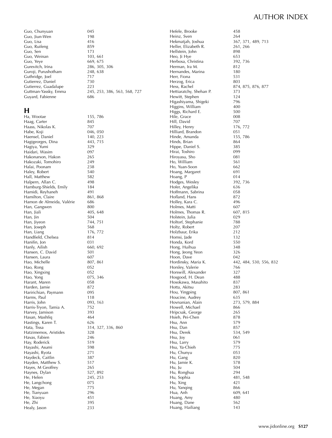Guo, Chunyuan (1945)<br>Guo, Jiun-Wen (198 Guo, Jiun-Wen 198<br>Guo, Lisa 16 Guo, Lisa 416 Guo, Ruifeng 859<br>Guo, Sen 173 Guo, Sen 173<br>Guo, Weinan 103, 661 Guo, Weinan 103, 661<br>Guo, Yeye 669, 675 Guo, Yeye 669, 675<br>Gurevitch, Irina 286, 305, 306 Gurevitch, Irina 286, 305,<br>Guroji, Purushotham 248, 638 Guroji, Purushotham Guthridge, Joel 717<br>
Gutierrez, Daniel 730 Gutierrez, Daniel 730<br>Gutierrez, Guadalune 723 Gutierrez, Guadalupe Guyard, Fabienne

#### H

Ha, Wootae 155, 786 Haag, Carter 845<br>Haass, Nikolas K. 707 Haass, Nikolas K. 707 Habe, Koji 046, 050 Haensel, Daniel 140, 223<br>Hagigeorges, Dina 143, 715 Hagigeorges, Dina (143)<br>Hagiya Yumi (1329) Hagiya, Yumi 329<br>Haidari, Wasim 697 Haidari, Wasim 097 Hakonarson, Hakon Hakozaki, Tomohiro 249 Halai, Poonam 238 Haley, Robert 540<br>Hall Matthew 582 Hall, Matthew 582<br>Halpern, Allan C 498 Halpern, Allan C. (498)<br>Hamburg-Shields. Emily (484) Hamburg-Shields, Emily 184<br>Hamidi, Revhaneh 191 Hamidi, Reyhaneh (1991)<br>Hamilton, Claire (1996) 861, 868 Hamilton, Claire 861<br>Hamon de Almeida, Valérie 686 Hamon de Almeida, Valérie 686<br>Han, Gangwen 600 Han, Gangwen 800<br>Han, Iiali 880 405, 648 Han, Jiali 405,<br>Han, Jin 504 Han, Jin 504<br>
Han, Jiyeon 744, 751 Han, Jiyeon Han, Joseph 568<br>
Han, Liang 176, 772 Han, Liang Handfield, Chelsea 814<br>Hanifin, Jon 831 Hanifin, Jon 031<br>Hanly, Ailish 660, 692 Hanly, Ailish 660<br>Hansen C. David 501 Hansen, C. David 501<br>Hansen, Laura 607 Hansen, Laura 607<br>Hao, Michelle 607, 861 Hao, Michelle 807<br>Hao, Rong 852 Hao, Rong 052<br>Hao, Xingxing 052 Hao, Xingxing 052<br>Hao, Yong 075, 346 Hao, Yong (175, 1866)<br>Harant, Maren (1866) Harant, Maren Harden, Jamie 872 Haririchian, Paymann Harms, Paul 118<br>
Harris, John 1093, 163 Harris, John Harris-Tryon, Tamia A. 752<br>Harvey, Jamison 393 Harvey, Jamison 393<br>Hasan, Mashfiq 3464 Hasan, Mashfiq<br>Hastings, Karen T. 626 Hastings, Karen T.<br>Hata, Tissa Hatzimemos, Aristides 328<br>Havas, Fabien 3246 Havas, Fabien 246<br>Hav. Roderick 519 Hay, Roderick 519<br>Hayashi, Asumi 598 Hayashi, Asumi 598<br>Hayashi, Ryota 1971 Hayashi, Ryota 271 Haydeck, Caitlin 387<br>Hayden, Matthew S. 317 Hayden, Matthew S. 517<br>Haves. M Geoffrev 265 Hayes, M Geoffrey 265<br>
Haynes, Dylan 527, 892 Haynes, Dylan 527, 892<br>He, Helen 245, 253 He, Helen 245,<br>He, Langchong 075 He, Langchong 075<br>He, Megan 775 He, Megan 775<br>
He, Tianyuan 296 He, Tianyuan 296<br>He, Xiaovu 251 He, Xiaoyu He, Zhi 395<br>Healy, Jason 233 Healy, Jason

Guttman-Yassky, Emma 245, 253, 386, 563, 568, 727

314, 327, 336, 860

Hefele, Brooke 458 Heinz, Sven<br>Hekmatjah, Joshua 367, 371, 489, 713<br>261, 266 Heller, Elizabeth R. 261,<br>Hellstein, John 298 Hellstein, John Heo, Ji Hye<br>
Herbosa, Christina<br>
392, 736 Herbosa, Christina 392<br>Herman, Ira M Herman, Ira M. Hernandes, Marina 180 Herr, Fiona 531<br>Herzog, Erica 603 Herzog, Erica<br>Hess, Rachel 874, 875, 876, 877 Hettiaratchy, Shehan P. 373<br>Hewitt. Stephen 124 Hewitt, Stephen Higashiyama, Shigeki 796<br>Higgins, William 400 Higgins, William 400<br>Higgs, Richard E 500 Higgs, Richard E. 500<br>Hile, Grace 6008 Hile, Grace Hill, David<br>
Hilley, Henry 176, 772 Hilley, Henry Hilliard, Brandon 155, 786<br>Hinde, Amanda 155, 786 Hinde, Amanda Hinds, Brian 864<br>Hinne Daniel S. 385 Hippe, Daniel S. 385 Hirai, Toshiro (1999)<br>Hirovasu, Sho Hiroyasu, Sho 081 Ho, William 561<br>
Ho. Yuan-Soon 562 Ho, Yuan-Soon Hoang, Margaret 691<br>Hoang, P 614 Hoang, P 014<br>
Hodges, Wesley 392, 736 Hodges, Wesley Hofer, Angelika 636 Hoffmann, Sabrina 058<br>Hofland, Hans 872 Hofland, Hans 872<br>Hollev. Kara C. 496 Holley, Kara C. 496<br>
Holmes, Matti 607 Holmes, Matti 607<br>Holmes. Thomas R. 607. 815 Holmes, Thomas R. Holstein, Julia 1999<br>Holtorf, Stephanie 1988 Holtorf, Stephanie Holtz, Robert 207<br>Holzbaur, Frika 212 Holzbaur, Erika Homsi, Jade 132<br>Honda, Kord 550 Honda, Kord 550 Hong, Huihua 348 Hong, Jeong Yeon 326<br>Hoon Dave 042 Hoon, Dave<br>Hordinsky, Maria K. 442, 484, 530, 556, 832<br>766 Horsley, Valerie 766<br>Horswill Alexander 327 Horswill, Alexander 327<br>Hosgood, H. Dean 488 Hosgood, H. Dean 488<br>Hosokawa. Masahito 4837 Hosokawa, Masahito Hotta, Akitsu 283<br>Hou, Yingping 283, 861 Hou, Yingping Houcine, Audrey 635<br>
Hovnanian, Alain 6273, 579, 884 Hovnanian, Alain 273,<br>Howell, Michael 866 Howell, Michael 866<br>
Hripcsak, George 265 Hripcsak, George 265<br>
Hsieh, Pei-Chen 278 Hsieh, Pei-Chen 878<br>Hsu, Ann 579 Hsu, Ann 579<br>Hsu, Dan 657 Hsu, Dan 857<br>Hsu, Derek 534, 549 Hsu, Derek 534<br>Hsu, Joy 661 Hsu, Joy 061<br>Hsu, Larry 579 Hsu, Larry 579<br>Hsu, Ya-Chieh 575 Hsu, Ya-Chieh Hu, Chunyu (1953)<br>Hu, Gang (1982) Hu, Gang 820<br>Hu, Jamie K. 678 Hu, Jamie K. 578 Hu, Ju 504 Hu, Ronghua 294 Hu, Sophia 481<br>Hu, Xing 421 Hu, Xing 421<br>Hu, Yanging 421 Hu, Yanqing 866<br>Hua, Anh 809, 641 Hua, Anh 609,<br>Huang, Amy 609, Huang, Amy Huang, Dane 562<br>Huang, Hailiang 562 Huang, Hailiang

[www.jidonline.org](http://www.jidonline.org) S127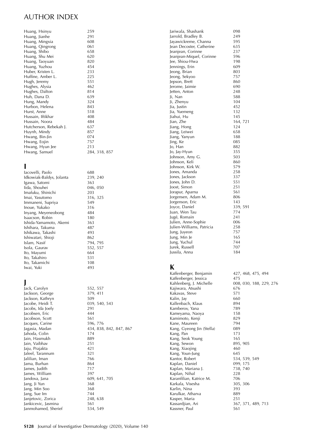| Huang, Hsinyu          | 259 |
|------------------------|-----|
| Huang, Jianhe          | 291 |
| Huang, Mingxia         | 608 |
| Huang, Qingrong        | 061 |
| Huang, Shibo           | 658 |
| Huang, Shu Mei         | 620 |
| Huang, Taoyuan         | 820 |
| Huang, Yuzhou          | 454 |
| Huber, Kristen L.      | 233 |
| Huffine, Amber L.      | 225 |
| Hugh, Jeremy           | 551 |
| Hughes, Alysia         | 462 |
| Hughes, Dalton         | 814 |
| Huh, Dana D.           | 639 |
| Hung, Mandy            | 324 |
| Hurbon, Helena         | 843 |
| Hurst, Anne            | 518 |
| Hussain, Iftikhar      | 408 |
| Hussain, Noora         | 484 |
| Hutcherson, Rebekah J. | 637 |
| Huynh, Mindy           | 857 |
| Hwang, Bin-Jin         | 074 |
| Hwang, Eojin           | 757 |
| Hwang, Hyun Jee        | 213 |
| Hwang, Samuel          | 284 |
|                        |     |

#### I

Iacovelli, Paolo 688 Idkowiak-Baldys, Jolanta 239,<br>Igawa, Satomi 263 Igawa, Satomi 363<br>Iida, Shouhei 363 046, 050 Iida, Shouhei 046,<br>Imafuku, Shinichi 203 Imafuku, Shinichi 203 Imai, Yasutomo Immaneni, Supriya 549<br>Inoue, Yukako 516 Inoue, Yukako <sup>1</sup> 316<br>Inyang, Meyeneobong 484 Inyang, Meyeneobong 1844<br>Isaacson, Robin 180 Isaacson, Robin 180<br>Ishida-Yamamoto, Akemi 363 Ishida-Yamamoto, Akemi 363<br>Ishihara, Takuma 487 Ishihara, Takuma (1878)<br>Ishikawa, Takashi (1893) Ishikawa, Takashi Ishiwatari, Shioji 862<br>Islam, Nasif 794, 795 **Islam, Nasif** 794, 795<br> **Isola, Gaurav** 552, 557 Isola, Gaurav 552,<br>Ito, Mayumi 664 Ito, Mayumi 664<br>Ito, Takahiro 531 Ito, Takahiro 531<br>Ito, Takamichi 531 Ito, Takamichi 108<br>Iwai, Yuki 108 Iwai, Yuki

061<br>658 518<br>408

284, 318, 857

| ,                   |                         |
|---------------------|-------------------------|
| Jack, Carolyn       | 552, 557                |
| Jackson, George     | 379, 411                |
| Jackson, Kathryn    | 509                     |
| Jacobe, Heidi T.    | 039, 540, 543           |
| Jacobs, Ida Joely   | 291                     |
| Jacobsen, Eric      | 444                     |
| Jacobson, Scott     | 561                     |
| Jacques, Carine     | 596, 776                |
| Jagasia, Madan      | 434, 838, 842, 847, 867 |
| Jahoda, Colin       | 174                     |
| Jain, Hasmukh       | 889                     |
| Jain, Vaibhav       | 251                     |
| Jaju, Prajakta      | 421                     |
| Jaleel, Tarannum    | 321                     |
| Jalilian, Iman      | 766                     |
| Jama, Burhan        | 864                     |
| James, Judith       | 717                     |
| James, William      | 397                     |
| Jandova, Jana       | 609, 641, 705           |
| Jang, Ji Yun        | 368                     |
| Jang, Min Soo       | 368                     |
| Jang, Sue Im        | 744                     |
| Janjetovic, Zorica  | 248, 638                |
| Jankicevic, Jasmina | 561                     |
| Janmohamed. Sherief | 534.549                 |

| Jariwala, Shashank        | 098      |
|---------------------------|----------|
| Jarrold, Bradley B.       | 249      |
| Jayawickreme, Channa      | 595      |
| Jean Decoster, Catherine  | 635      |
| Jeanjean, Corinne         | 237      |
| Jeanjean-Miquel, Corinne  | 596      |
| Jee, Shiou-Hwa            | 198      |
| Jennings, Erin            | 609      |
| Jeong, Brian              | 803      |
| Jeong, Sekyoo             | 757      |
| Jepson, Brett             | 860      |
| Jerome, Jaimie            | 690      |
| Jetten, Anton             | 248      |
| Ji, Nan                   | 588      |
| Ji, Zhenyu                | 104      |
| Jia, Justin               | 452      |
| Jia, Yuemeng              | 132      |
| Jiahui, Hu                | 145      |
| Jian, Zhe                 | 164, 721 |
| Jiang, Hong               | 124      |
| Jiang, Leiwei             | 658      |
| Jiang, Yanyun             | 188      |
| Jing, Ke                  | 085      |
| Jo, Han                   | 882      |
| Jo, Jay-Hyun              | 355      |
| Johnson, Amy G.           | 503      |
| Johnson, Keli             | 860      |
| Johnson, Kirk W.          | 579      |
| Jones, Amanda             | 258      |
| Jones, Jackson            | 337      |
| Jones, John D.            | 551      |
| Joost, Simon              | 251      |
| Jorapur, Aparna           | 561      |
| Jorgensen, Adam M.        | 806      |
| Jorgenson, Eric           | 143      |
| Joyce, Daniel             | 339, 591 |
| Juan, Wen Tau             | 774      |
| Jugé, Romain              | 241      |
| Julien, Anne-Sophie       | 006      |
| Julien-Williams, Patricia | 258      |
| Jung, Juyeon              | 757      |
| Jung, Min Je              | 165      |
| Jung, Yuchul              | 744      |
| Jurek, Russell            | 707      |
| Jussila, Anna             | 184      |
|                           |          |

# $K_{Ka}$

| Kaffenberger, Benjamin    | 427, 468, 475, 494      |
|---------------------------|-------------------------|
| Kaffenberger, Jessica     | 475                     |
| Kahlenberg, J. Michelle   | 008, 030, 188, 229, 276 |
| Kajiwara, Atsushi         | 676                     |
| Kakavas, Steve            | 571                     |
| Kalin, Jay                | 660                     |
| Kallenbach, Klaus         | 894                     |
| Kamberov, Yana            | 789                     |
| Kameyama, Naoya           | 158                     |
| Kamimoto, Kenji           | 829                     |
| Kane, Maureen             | 794                     |
| Kang, Gyeong Jin (Stella) | 089                     |
| Kang, Pan                 | 173                     |
| Kang, Seok Young          | 165                     |
| Kang, Sewon               | 895, 905                |
| Kang, Xiaojing            | 460                     |
| Kang, Youn-Jung           | 645                     |
| Kantor, Robert            | 534, 539, 549           |
| Kaplan, Daniel            | 099, 175                |
| Kaplan, Mariana J.        | 738, 740                |
| Kaplan, Nihal             | 228                     |
| Karanfilian, Katrice M.   | 706                     |
| Karkala, Visesha          | 305, 306                |
| Karlin, Nina              | 393                     |
| Karulkar, Atharva         | 889                     |
| Kasper, Maria             | 251                     |
| Kassardjian, Ari          | 367, 371, 489, 713      |
| Kassner, Paul             | 561                     |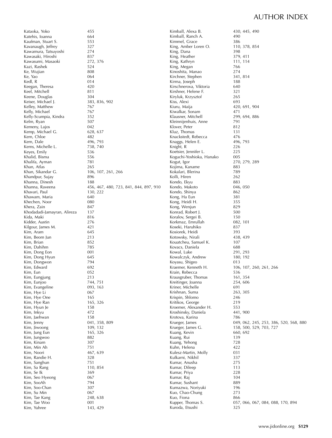Kataoka, Yoko 455 Katehis, Ioanna<br>Kaufman, Stuart S. 653 Kaufman, Stuart S. 553<br>Kavanaugh, Jeffrey 327 Kavanaugh, Jeffrey 1927<br>Kawamura, Tatsuyoshi 19274 Kawamura, Tatsuyoshi Kawasaki, Hiroshi 837 Kawasumi, Masaoki 272, 376 Kazi, Rashek 524<br>Ke. Wuiian 608 Ke, Wujian 808<br>Ke, Yao Ke, Yao 064<br>Kedl, R 014 Kedl, R 014 Keegan, Theresa Keel, Mitchell 611<br>Keene. Douglas 6304 Keene, Douglas 304 Keiser, Michael J. 383<br>Kelley, Matthew 767 Kelley, Matthew 767<br>
Kelly, Michael 767 Kelly, Michael 767<br>
Kelly-Scumpia, Kindra 752 Kelly-Scumpia, Kindra 352 Kelm, Ryan 507<br>Kemeny, Lajos 642 Kemeny, Lajos 042 Kemp, Michael G. 628<br>Kern, Chloe 637 Kern, Chloe (1982)<br>Kern, Dale (1986) 496, 793 Kern, Dale 496, 793<br>
Kerns, Michelle L. (738, 740) Kerns, Michelle L. 738,<br>Keyes, Emily 536 Keyes, Emily 536<br>Khalid. Bisma 556 Khalid, Bisma Khalifa, Ayman 781<br>Khan, Atlas 265 Khan, Atlas 265 Khan, Sikandar G. 106,<br>Khandpur, Sujay 1896 Khandpur, Sujay 896<br>Khanna, Dinesh 188 Khanna, Dinesh<br>Khanna, Raveena Khavari, Paul 130, 222<br>Khawam, Maria 150, 222 Khawam, Maria 640<br>Khechen, Noor 680 Khechen, Noor 080 Khera, Zain<br>Khodadadi-lamavran, Alireza 137 Khodadadi-Jamayran, Alireza Kida, Maki 816 Kidder, Austin 276<br>Kilgour, James M. 421 Kilgour, James M. 421<br>Kim, Aram 645 Kim, Aram Kim, Beom Jun 213<br>Kim, Brian 852 Kim, Brian 852<br>Kim, Dahihm 852 Kim, Dahihm 785<br>Kim, Dong Fon 1999 Kim, Dong Eon 601<br>Kim, Dong Hyun 645 Kim, Dong Hyun 645<br>Kim, Dongwon 794 Kim, Dongwon 794<br>Kim, Edward 692 Kim, Edward 692<br>
Kim, Fun 652 Kim, Eun<br>Kim, Eungjung (1922)<br>213 Kim, Eungjung 13<br>Kim, Eunioo 1244, 751 Kim, Eunjoo Kim, Evangeline 093, 163<br>Kim, Hye Li 067 Kim, Hye Li 067<br>Kim, Hye One 165 Kim, Hye One 165<br>
Kim, Hye Ran 165, 326 Kim, Hye Ran Kim, Hyun Je 158<br>Kim, Inkyu 172 Kim, Inkyu 472 Kim, Jaehwan<br>Kim, Jenny Kim, Jiwoong Kim, Jung Eun 165, 326<br>Kim, Jungwoo 882 Kim, Jungwoo 882<br>Kim, Kinam 307 Kim, Kinam 307<br>Kim, Min Ah 3751 Kim, Min Ah 751<br>Kim, Noori 1986 1997, 467, 639 Kim, Noori 1997, 1997, 1998 Min, Randie H. 1998 Min 1998 Min 1998 Min 1998 Min 1998 Min 1999 Min 1999 Min 1999 Min 1999 Min 1999 Min 1999 Min 1999 Min 1999 Min 1999 Min 1999 Min 1999 Min 1999 Min 1999 Min 1999 Min 1999 Min Kim, Randie H. Kim, Sanghun 751<br>Kim, Sa Rang 110, 854 Kim, Sa Rang 110,<br>Kim, Se Ik 369 Kim, Se Ik<br>Kim, Seo Hveong (369) Kim, Seo Hyeong 067<br>Kim, SooAh 794 Kim, SooAh 794<br>Kim, Soo-Chan 307 Kim, Soo-Chan 307<br>Kim, Su Min 307 Kim, Su Min 067 Kim, Tae Kang Kim, Tae Woo  $001$ <br>Kim, Yuhree  $143, 429$ Kim, Yuhree

456, 467, 480, 723, 841, 844, 897, 910 041, 358, 809<br>109, 132

| Kimball, Alexa B.        | 430, 445, 490                          |
|--------------------------|----------------------------------------|
| Kimball, Ranch A.        | 490                                    |
|                          | 386                                    |
| Kimmel, Grace            |                                        |
| King, Amber Loren O.     | 110, 378, 854                          |
| King, Dana               | 398                                    |
| King, Heather            | 379, 411                               |
| King, Kathryn            | 111, 114                               |
| King, Megan              | 766                                    |
| Kinoshita, Manao         | 274                                    |
| Kirchner, Stephen        | 341, 814                               |
|                          |                                        |
| Kirma, Joseph            | 188                                    |
| Kirschnerova, Viktoria   | 640                                    |
| Kirshner, Helene F.      | 321                                    |
| Kiryluk, Krzysztof       | 265                                    |
| Kiss, Alexi              | 693                                    |
| Kiuru, Maija             | 420, 691, 904                          |
| Kiwalkar, Sonam          | 471                                    |
|                          |                                        |
| Klausner, Mitchell       | 299, 694, 886                          |
| Kleinnijenhuis, Anne     | 791                                    |
| Klover, Peter            | 812                                    |
| Kluz, Thomas             | 131                                    |
| Knackstedt, Rebecca      | 476                                    |
| Knaggs, Helen E.         | 496, 793                               |
| Knight, R                | 226                                    |
|                          | 225                                    |
| Koetsier, Jennifer L.    |                                        |
| Koguchi-Yoshioka, Hanako | 005                                    |
| Kogut, Igor              | 270, 279, 289                          |
| Kojima, Kaname           | 883                                    |
| Kokalari, Blerina        | 789                                    |
| Kolli, Hiren             | 262                                    |
| Kondo, Ekyu              | 883                                    |
| Kondo, Makoto            | 046, 050                               |
| Kondo, Shinya            | 862                                    |
|                          | 381                                    |
| Kong, Ha Eun             |                                        |
| Kong, Heidi H.           | 355                                    |
| Kong, Wenjun             | 829                                    |
| Konrad, Robert J.        | 500                                    |
| Koralov, Sergei B.       | 150                                    |
| Korkmaz, Emrullah        | 082, 101                               |
| Koseki, Haruhiko         | 837                                    |
| Kosiorek, Heidi          | 393                                    |
| Kotowsky, Nirali         | 438, 439                               |
|                          | 107                                    |
| Kouatcheu, Samuel K.     |                                        |
| Kovacs, Daniela          | 688                                    |
| Kowal, Luke              | 291, 293                               |
| Kowalczyk, Andrew        | 180, 192                               |
| Koyasu, Shigeo           | 013                                    |
| Kraemer, Kenneth H.      | 106, 107, 260, 261, 266                |
| Krain, Rebecca           | 536                                    |
| Krausgruber, Thomas      | 161, 354                               |
|                          |                                        |
| Kreitinger, Joanna       | 254, 606                               |
| Kriner, Michelle         | 691                                    |
| Krishnan, Suma           | 263, 305                               |
| Krispin, Shlomo          | 246                                    |
| Kritikos, George         | 219                                    |
| Kroemer, Alexander H.    | 553                                    |
| Kroshinsky, Daniela      | 441, 900                               |
| Krotova, Karina          | 786                                    |
| Krueger, James           | 049, 062, 245, 253, 386, 520, 568, 880 |
|                          |                                        |
| Krueger, James G.        | 158, 500, 529, 703, 727                |
| Kuang, Kevin             | 660, 692                               |
| Kuang, Rui               | 139                                    |
| Kuang, Yehong            | 728                                    |
| Kuhn, Helena             | 422                                    |
| Kulesz-Martin, Molly     | 031                                    |
| Kulkarni, Nikhil         | 337                                    |
| Kumar, Anusha            | 275                                    |
| Kumar, Dileep            | 113                                    |
|                          |                                        |
| Kumar, Priya             | 228                                    |
| Kumar, Raj               | 104                                    |
| Kumar, Sushant           | 889                                    |
| Kumazwa, Noriyuki        | 196                                    |
| Kuo, Chao-Chung          | 273                                    |
| Kuo, Fiona               | 866                                    |
| Kupper, Thomas S.        | 057, 066, 067, 084, 088, 170, 894      |
| Kuroda, Etsushi          | 325                                    |
|                          |                                        |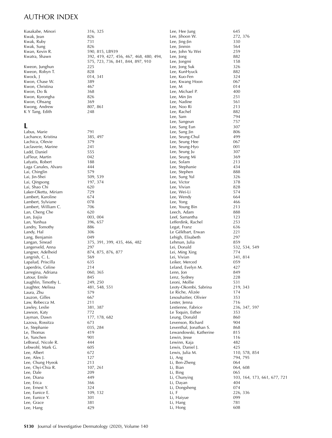| Kusakabe, Minori     | 316, 325                                | Lee, Hee Jung          | 645                          |
|----------------------|-----------------------------------------|------------------------|------------------------------|
| Kwak, Jean           | 826                                     | Lee, Jihoon W.         | 272, 376                     |
| Kwak, Ruby           | 731                                     | Lee, Jing-Jin          | 330                          |
| Kwak, Sung           | 826                                     | Lee, Jinmin            | 564                          |
| Kwan, Kevin R.       | 590, 815, LB939                         | Lee, John Yu Wei       | 259                          |
| Kwatra, Shawn        | 392, 419, 427, 456, 467, 468, 480, 494, | Lee, Jong              | 882                          |
|                      | 575, 723, 736, 841, 844, 897, 910       | Lee, Jongmi            | 158                          |
| Kweon, Junghun       | 225                                     | Lee, Jong Suk          | 326                          |
| Kweon, Robyn T.      | 828                                     | Lee, KunHyuck          | 882                          |
| Kwock, J             | 014, 341                                | Lee, Kuo-Fen           | 324                          |
| Kwon, Chase W.       | 389                                     | Lee, Kwang Hoon        | 067                          |
| Kwon, Christina      | 467                                     | Lee, M                 | 014                          |
| Kwon, Do Ik          | 368                                     | Lee, Michael P.        | 400                          |
| Kwon, Kyeongha       | 826                                     | Lee, Min Jin           | 251                          |
| Kwon, Ohsang         | 369                                     | Lee, Nadine            | 561                          |
| Kwong, Andrew        | 807, 861                                | Lee, Noo Ri            | 213                          |
| K Y Tang, Edith      | 248                                     | Lee, Rachel            | 882                          |
|                      |                                         | Lee, Sam               | 794                          |
|                      |                                         | Lee, Sangeun           | 757                          |
| L                    |                                         | Lee, Sang Eun          | 307                          |
| Labus, Marie         | 791                                     | Lee, Sang Jin          | 806                          |
| Lachance, Kristina   | 385, 497                                | Lee, Seung-Chul        | 499                          |
| Lachica, Olevie      | 379                                     |                        | 067                          |
|                      |                                         | Lee, Seung Hee         |                              |
| Laclaverie, Marine   | 241                                     | Lee, Seung-Hyo         | 001                          |
| Ladd, Daniel         | 555                                     | Lee, Seung Ju          | 307                          |
| LaFleur, Martin      | 042                                     | Lee, Seung Mi          | 369                          |
| Lafyatis, Robert     | 188                                     | Lee, Solam             | 213                          |
| Laga Canales, Alvaro | 444                                     | Lee, Stephanie         | 434                          |
| Lai, Chinglin        | 579                                     | Lee, Stephen           | 888                          |
| Lai, Jin-Shei        | 509, 539                                | Lee, Sung Yul          | 326                          |
| Lai, Qingsong        | 197, 374                                | Lee, Victor            | 378                          |
| Lai, Shao Chi        | 620                                     | Lee, Vivian            | 828                          |
| Laker-Oketta, Miriam | 729                                     | Lee, Wei-Li            | 574                          |
| Lambert, Karoline    | 674                                     | Lee, Wendy             | 664                          |
| Lambert, Sylviane    | 078                                     | Lee, Yong              | 466                          |
| Lambert, William C.  | 706                                     | Lee, Young Bin         | 213                          |
| Lan, Cheng Che       | 620                                     | Leech, Adam            | 888                          |
|                      |                                         |                        | 123                          |
| Lan, Jiajia          | 003, 004                                | Leef, Samantha         |                              |
| Lan, Yunhua          | 396, 657                                | Lefferdink, Rachel     | 253                          |
| Landry, Tomothy      | 886                                     | Legat, Franz           | 636                          |
| Landy, Hal           | 306                                     | Le Gélébart, Erwan     | 221                          |
| Lang, Benjamin       | 049                                     | Lehigh, Elisabeth      | 297                          |
| Langan, Sinead       | 375, 391, 399, 435, 466, 482            | Lehman, Julia          | 859                          |
| Langerveld, Anna     | 297                                     | Lei, Donald            | 532, 534, 549                |
| Langner, Adelheid    | 874, 875, 876, 877                      | Lei, Ming Xing         | 774                          |
| Langrish, C. L.      | 569                                     | Lei, Vivian            | 341, 814                     |
| Lapalud, Priscilla   | 635                                     | Leiker, Merced         | 059                          |
| Laperdrix, Celine    | 214                                     | Leland, Evelyn M.      | 427                          |
| Larregina, Adriana   | 060, 365                                | Lenn, Jon              | 849                          |
| Latour, Emile        | 845                                     | Lenz, Sydney           | 228                          |
| Laughlin, Timothy L. | 249, 250                                | Leoni, Mollie          | 531                          |
| Laughter, Melissa    | 481, 548, 551                           | Leoty-Okombi, Sabrina  | 219, 343                     |
| Laura, Zhu           | 579                                     | Le Riche, Alizée       | 174                          |
| Lauzon, Gilles       | 667                                     | Lesouhaitier, Olivier  | 353                          |
| Law, Rebecca M.      | 211                                     | Lester, Jenna          | 716                          |
| Lawley, Leslie       |                                         | Lestienne, Fabrice     | 236, 347, 597                |
|                      | 381, 387                                |                        |                              |
| Lawson, Katy         | 772                                     | Le Toquin, Esther      | 353                          |
| Layman, Dawn         | 177, 178, 682                           | Leung, Donald          | 860                          |
| Lazova, Rossitza     | 673                                     | Levenson, Richard      | 904                          |
| Le, Stephanie        | 035, 284                                | Leventhal, Jonathan S. | 868                          |
| Le, Thomas           | 419                                     | Lewandowski, Katherine | 815                          |
| Le, Yunchen          | 901                                     | Lewin, Jesse           | 116                          |
| LeBoeuf, Nicole R.   | 444                                     | Lewinn, Kaja           | 482                          |
| Lebwohl, Mark G.     | 605                                     | Lewis, Daniel J.       | 425                          |
| Lee, Albert          | 672                                     | Lewis, Julia M.        | 110, 578, 854                |
| Lee, Alex J.         | 127                                     | Li, Ang                | 794, 795                     |
| Lee, Chung Hyeok     | 213                                     | Li, Ben-Zheng          | 064                          |
| Lee, Chyi-Chia R.    | 107, 261                                | Li, Bian               | 064, 608                     |
| Lee, Dale            | 209                                     | Li, Bing               | 065                          |
| Lee, Diana           | 449                                     | Li, Chunying           | 103, 164, 173, 661, 677, 721 |
| Lee, Erica           | 366                                     | Li, Dayan              | 404                          |
| Lee, Ernest Y.       | 324                                     |                        | 074                          |
|                      |                                         | Li, Dongsheng          |                              |
| Lee, Eunice E.       | 109, 132                                | Li, F                  | 226, 336                     |
| Lee, Eunice Y.       | 301                                     | Li, Haiyue             | 099                          |
| Lee, Grace           | 381                                     | Li, Hang               | 781                          |
| Lee, Hang            | 429                                     | Li, Hong               | 608                          |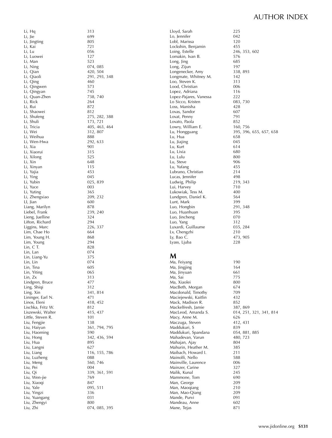Li, Hq 313 Li, Jie 699<br>Li, lingting 699 Li, Jingting 805<br>Li, Kai 721 Li, Kai 721 Li, Lu 056 Li, Luowei 127 Li, Man<br>Li, Ning Li, Ning 074, 085<br>
Li, Qian 420, 504 Li, Qian 420, 504<br>
Li, Qiaoli 291, 293 Li, Qing 460<br>Li, Oingwen 573 Li, Qingwen Li, Qingyan 745 Li, Quan-Zhen Li, Rick 264 Li, Rui 872<br>Li, Shaowei 812 Li, Shaowei<br>Li, Shufeng Li, Shufeng 275, 282, 388 Li, Shuli 173, 721<br>Li, Tricia 105, 463, Li, Tricia 405, 463, 464 Li, Weihua 888<br>Li, Wen-Hwa 292, 633 Li, Wen-Hwa 292<br>Li Xia 201 Li, Xia 901 Li, Xiaorui 315  $Li$ , Xilong Li, Xin<br>Li, Xinvan 648<br>115 Li, Xinyan Li, Yajia 453 Li, Ying<br>Li, Yubin Li, Yuce 003<br>
1. Yuting 365 Li, Yuting 365<br>
Li, Zhengxiao 309, 232 Li, Zhengxiao 209,<br>Ll. lian 600 LI, Jian<br>Liang Marilyn (1878)<br>878 Liang, Marilyn 19878<br>Liebel, Frank 1988 (239, 240) Liebel, Frank Lieng, Juelline 324<br>
Lifton, Richard 294 Lifton, Richard 294<br>
Liggins, Marc 226, 337 Liggins, Marc 226,<br>
Lim, Chae Ho 664 Lim, Chae Ho 664<br>
Lim, Young H. 868 Lim, Young H. 868<br>Lim, Young 294 Lim, Young 294<br>
Lin, C T. 828 Lin, C.T. 828<br>Lin, Lan, 074 Lin, Lan 074 Lin, Liang-Yu 375 Lin, Lin 074<br>
Lin, Tina 605 Lin, Tina 605 Lin, Yiting  $065$ <br>
Lin  $7x$  313 Lin, Zx 313<br>
Lindgren, Bruce 477 Lindgren, Bruce Ling, Shiqi 312 Ling, Xin 341<br>
Lininger, Farl N 471 Lininger, Earl N. 471<br>
Linos, Eleni 418, 452 Linos, Eleni Lischka, Fritz W. 812<br>
Liszewski, Walter 415, 437 Liszewski, Walter 15<br>Little, Steven R 101 Little, Steven R. 101<br>Liu, Fengjie 138 Liu, Fengjie<br>Liu, Haiyun Liu, Haoming 590<br>Liu, Hong 342, Liu, Hua 895<br>Liu, Langni 627 Liu, Langni Liu, Liang 116, 155, 786 Liu, Luzheng 1988<br>Liu, Meng 1988 1989 560, 746 Liu, Meng 560<br>Liu, Pei 6004 Liu, Pei<br>Liu, Oi Liu, Wen-jie 769<br>Liu, Xiaogi 769 Liu, Xiaoqi<br>Liu, Yale Liu, Yingzi 336 Liu, Yuangang Liu, Zhengyi 800

291, 293, 348<br>460 312, 807<br>888 025, 839<br>003 361, 794, 795 342, 436, 594<br>895 339, 361, 591<br>769 095, 511<br>336 074, 085, 395

Lloyd, Sarah 225 Lo, Jennifer 042<br>Tobl. Marissa 120 Lobl, Marissa 120<br>Lockshin, Benjamin 155 Lockshin, Benjamin<br>Loing, Estelle 246, 353, 602 Lomakin, Ivan B. 576<br>
Long, Jing 685 Long, Jing 685 Long, Zijun 197 Longenecker, Amy 338, 893 Longmate, Whitney M. 142<br>Loo, Steven K. 313 Loo, Steven K. 313<br>Lood, Christian 006 Lood, Christian Lopez, Adriana 116<br>
Lopez-Paiares. Vanessa 1222 Lopez-Pajares, Vanessa 222<br>Lo Sicco, Kristen 2083, 730 Lo Sicco, Kristen 083,<br>Loss, Manisha 428 Loss, Manisha 428 Lovas, Sandor 607 Lovat, Penny Lovato, Paola<br>
Lowry, William E. 160, 756 Lowry, William E.<br>Lu, Hongguang Lu, Hua 658<br>
Lu, liaiing 658 Lu, Jiajing 045 Lu, Kurt 614<br>
Lu, Lixia 680 Lu, Lixia 680 Lu, Lulu 800 Lu, Steve 906<br>
Lu, Yufang 155 Lu, Yufang Lubrano, Christian 214<br>
Lucas, Jennifer 2008 Lucas, Jennifer 498<br>
Ludwig, Philip 219, 343 Ludwig, Philip 219,<br>
Lui, Harvev 710 Lui, Harvey 710<br>
Lukowiak, Tess M 400 Lukowiak, Tess M. 400<br>Lundgren, Daniel K. 564 Lundgren, Daniel K. 564<br>Lunt. Mark 399 Lunt, Mark 399<br>
Luo, Hongbin 291, 348 Luo, Hongbin 291,<br>
Luo, Huanhuan 395 Luo, Huanhuan Luo, Jincheng 070<br>Luo, Yang 312 Luo, Yang 312 Luxardi, Guillaume 035, 284 Lv, Chengzhi 210<br>
Lv, Bao C. 473, 905 Ly, Bao C. 473,<br>Lyass, Ljuba 228 Lyass, Ljuba M Ma, Feiyang 190<br>Ma, Jingjing 164 Ma, Jingjing 164<br>Ma, Jinyuan 1661 Ma, Jinyuan 661<br>Martxa ta 1975 - 1980<br>Tanah 1981 Ma, Sai 775 Ma. Xiaolei MacBeth, Morgan 674<br>
Macdonald, Timothy 709 Macdonald, Timothy 709<br>Maciejewski, Kaitlin 432 Maciejewski, Kaitlin Mack, Madison R. 652<br>Mackelfresh. Iamie 6387. 869 Mackelfresh, Jamie<br>MacLeod, Amanda S. Macy, Anne M. 626<br>Maczuga, Steven 412, 431 Maczuga, Steven 412,<br>Maddukuri. S 839 Maddukuri, S 839 Maddukuri, Spandana (194, 881, 881)<br>Mahadevan, Varun (198, 723) Mahadevan, Varun 180<br>Mahajan, Ajav Mahajan, Ajay 804<br>Mahurin, Heather M. 385 Mahurin, Heather M. 385<br>Maibach, Howard I. 211 Maibach, Howard I. 211<br>Mainolfi, Nello 588 Mainolfi, Nello<br>
Mainville, Laurence
1006 Mainville, Laurence 006<br>
Mainzer, Carine 327 Mainzer, Carine 327<br>Malik Kunal 325 Malik, Kunal 245<br>Mammone Tom 690 Mammone, Tom 690<br>
Man, George 209 Man, George 209<br>
Man, Maogiang 210 Man, Maoqiang 210<br>
Man, Mao-Oiang 209 Man, Mao-Qiang 209 Mande, Purvi Mandeau, Anne 602<br>Mane, Tejas 671 Mane, Tejas

395, 396, 655, 657, 658<br>658 014, 251, 321, 341, 814<br>626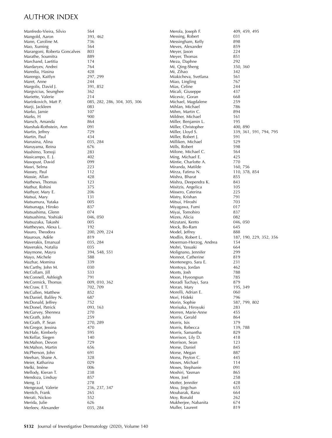| Manfredo-Vieira, Silvio                     |
|---------------------------------------------|
| Mangold, Aaron                              |
| Mann, Caroline M.                           |
| Mao, Xuming<br>Marangoni, Roberta Goncalves |
| Marathe, Soumitra                           |
| Marchand, Laetitia                          |
| Mardaryev, Andrei                           |
| Maredia, Hasina                             |
| Marengo, Kaitlyn<br>Maret, Anne             |
| Margolis, David J.                          |
| Margvicius, Seunghee                        |
| Mariette, Valerie                           |
| Marinkovich, Matt P.                        |
| Marji, Jackleen<br>Marko, Jamie             |
| Marks, H                                    |
| Marsch, Amanda                              |
| Marshak-Rothstein, Ann                      |
| Martin, Jeffrey                             |
| Martin, Paul<br>Marusina, Alina             |
| Maruyama, Reina                             |
| Mashimo, Tomoji                             |
| Masicampo, E. J.                            |
| Masopust, David                             |
| Masri, Selma<br>Massey, Paul                |
| Massie, Allan                               |
| Mathews, Thomas                             |
| Mathur, Rohini                              |
| Mathyer, Mary E.                            |
| Matsui, Mary                                |
| Matsumura, Yutaka<br>Matsunaga, Hiroko      |
| Matsushima, Glenn                           |
| Matsushima, Yoshiaki                        |
| Matsuzaka, Takash <mark>i</mark>            |
| Mattheyses, Alexa L.<br>Mauro, Theodora     |
| Mauroux, Adèle                              |
| Maverakis, Emanual                          |
| Maverakis, Natalia                          |
| Maymone, Mayra                              |
| Mayo, Michele<br>Mazhar, Momina             |
| McCarthy, John M.                           |
| McCollam, Jill                              |
| McConnell, Ashleigh                         |
| McCormick, Thomas                           |
| McCraw, E T.<br>McCullen, Matthew           |
| McDaniel, Baliley N.                        |
| McDonald, Jeffrey                           |
| McDonel, Patrick                            |
| McGarvey, Shennea                           |
| McGrath, John                               |
| McGrath, P. Sean<br>McGregor, Jessina       |
| McHale, Kimberly                            |
| McKellar, Siegen                            |
| McMahon, Devon                              |
| McMahon, Martin<br>McPherson, John          |
| Meehan, Shane A.                            |
| Meier, Katharina                            |
| Melki, Imène                                |
| Mellody, Kieran T.                          |
| Mendoza, Lindsay                            |
| Meng, Li<br>Mengeaud, Valerie               |
| Mentch, Frank                               |
| Merati, Nickoo                              |
| Merida, Julie                               |
| Merleev, Alexander                          |

| Merola, Joseph F.                        | 409, 459, 495             |
|------------------------------------------|---------------------------|
| Messing, Robert                          | 031                       |
| Messingham, Kelly                        | 898                       |
| Meves, Alexander                         | 859                       |
| Meyer, Jason                             | 224                       |
| Meyer, Thomas                            | 851                       |
| Meza, Daphne                             | 292                       |
| Mi, Qing-Sheng                           | 350, 360                  |
| Mi, Zihao                                | 342                       |
| Miakicheva, Svetlana                     | 561                       |
| Miao, Lingling                           | 767                       |
| Mias, Celine                             | 244                       |
| Micali, Giuseppe                         | 437                       |
| Micevic, Goran                           | 668                       |
| Michael, Magdalene                       | 259                       |
| Mihlan, Michael                          | 786                       |
| Mihm, Martin C.                          | 894                       |
| Mildner, Michael                         | 161                       |
| Miller, Benjamin L.                      | 195                       |
| Miller, Christopher                      | 400, 890                  |
| Miller, Lloyd S.                         | 339, 361, 591, 794, 795   |
| Miller, Robert J.                        | 591                       |
| Milliken, Michael                        | 529                       |
| Mills, Robert                            | 598                       |
| Milone, Michael C.                       | 564                       |
| Ming, Michael E.                         | 425<br>770                |
| Mintie, Charlotte A.<br>Miranda, Matilde |                           |
| Mirza, Fatima N.                         | 160, 756<br>110, 378, 854 |
| Mishra, Bharat                           | 855                       |
| Mishra, Deependra K.                     | 843                       |
| Misitzis, Angelica                       | 105                       |
| Missero, Caterina                        | 225                       |
| Mistry, Krishan                          | 791                       |
| Mitsui, Hiroshi                          | 703                       |
| Miyagawa, Fumi                           | 017                       |
| Miyai, Tomohiro                          | 837                       |
| Mizes, Alicia                            | 082                       |
| Mizutani, Kento                          | 046, 050                  |
| Mock, Bo-Ram                             | 645                       |
| Model, Jeffrey                           | 888                       |
|                                          |                           |
| Modlin, Robert L.                        | 187, 190, 229, 352, 356   |
| Moerman-Herzog, Andrea                   | 154                       |
| Mohri, Yasuaki                           | 664                       |
| Molignano, Jennifer                      | 299                       |
| Monnot, Catherine                        | 819                       |
| Montenegro, Sara E.                      | 231                       |
| Montoya, Jordan                          | 462                       |
| Monts, Josh                              | 788                       |
| Moon, Hyeongsun                          | 785                       |
| Moradi Tuchayi, Sara                     | 879                       |
| Moran, Mary                              | 195, 349                  |
| Morelli, Adrian E.                       | 060                       |
| Mori, Hideki                             | 796                       |
| Morin, Sophie                            | 587, 799, 802             |
| Morisaka, Hiroyuki                       | 283                       |
| Morren, Marie-Anne                       | 455                       |
| Morris, Gerald                           | 864                       |
| Morris, Isis                             | 379                       |
| Morris, Rebecca                          | 139, 788                  |
| Morris, Samantha                         | 829                       |
| Morrison, Lily D.                        | 418                       |
| Morrison, Sean                           | 123                       |
| Morse, Daniel                            | 845                       |
| Morse, Megan                             | 887                       |
| Morss, Peyton C.                         | 445<br>114                |
| Moses, Michael                           | 091                       |
| Moses, Stephanie<br>Moshiri, Yasman      | 865                       |
| Moss, Joel                               | 258                       |
| Motter, Jennifer                         | 428                       |
| Mou, Jingchun                            | 655                       |
| Moubarak, Rana                           | 664                       |
| Moy, Ronald                              | 262                       |
| Mukherjee, Nabanita<br>Muller, Laurent   | 674<br>819                |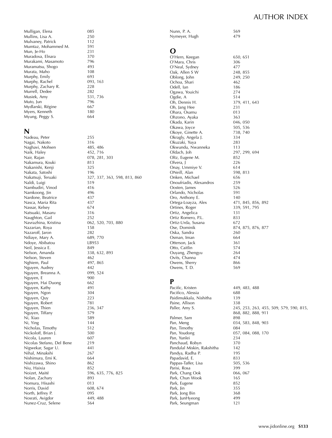Mulligan, Elena (1858)<br>Mullins, Lisa A. (1872) 250 Mullins, Lisa A. 250<br>Mulvanev. Patrick 112 Mulvaney, Patrick 112<br>Mumtaz Mohammed M 591 Mumtaz, Mohammed M. 591<br>Mun, Je-Ho 231 Mun, Je-Ho Muradova, Elnara 370 Murakami, Masamoto *796*<br>Muramatsu, Shogo *193* Muramatsu, Shogo Murata, Maho 108 Murphy, Emily 693<br>
Murphy, Rachel 693, 163 Murphy, Rachel 093,<br>Murphy, Zachary R 228 Murphy, Zachary R. Murrell, Dedee 282 Musiek, Amy Muto, Jun 796<br>Mydlarski, Régine 667 Mydlarski, Régine 667<br>Myers Kenneth 180 Myers, Kenneth Myung, Peggy S. 664

#### N

Nadeau, Peter Nagai, Nakoto Naghavi, Mohsen Naik, Haley Nair, Rajan Nakamura, Kouki Nakanishi, Kenji 325 Nakata, Satoshi Nakatsuji, Teruaki 327, 337, 363, 598, 813, 860 Naldi, Luigi Nambudiri, Vinod Namkoong, Jin 496 Nardone, Beatrice Nasca, Maria Rita Nassar, Kelsey Natsuaki, Masaru Naughton, Gail Navrazhina, Kristina Nazarian, Roya Nazaroff, Jaron Ndiaye, Mary A. Ndoye, Abibatou Neil, Jessica E. Nelson, Amanda Nelson, Steven Nghiem, Paul Nguyen, Audrey Nguyen, Breanna A. Nguyen, E Nguyen, Hai Duong Nguyen, Kathy Nguyen, Ngon Nguyen, Quy Nguyen, Robert Nguyen, Thien Nguyen, Tiffany Ni, Xiao Ni, Ying Nicholas, Timothy Nickoloff, Brian J. Nicola, Lauren Nicolas Stefano, Del Bene Nigwekar, Sagar U. 441 Nihal, Minakshi 267 Nishimura, Emi K. Nishizawa, Shino Niu, Haixia 852 Noizet, Maité Nolan, Zachary Nomura, Hisashi Norris, David North, Jeffrey P. Nosrati, Avigdor Nunez-Cruz, Selene

| 255      |               |                        |  |
|----------|---------------|------------------------|--|
| 316      |               |                        |  |
| 485, 486 |               |                        |  |
| 452, 716 |               |                        |  |
|          | 078, 281, 303 |                        |  |
| 813      |               |                        |  |
| 325      |               |                        |  |
|          |               |                        |  |
| 196      |               |                        |  |
|          |               | 327, 337, 363, 598, 81 |  |
| 519      |               |                        |  |
| 416      |               |                        |  |
| 496      |               |                        |  |
| 437      |               |                        |  |
| 437      |               |                        |  |
| 674      |               |                        |  |
| 316      |               |                        |  |
| 252      |               |                        |  |
|          |               | 062, 520, 703, 880     |  |
| 158      |               |                        |  |
| 282      |               |                        |  |
| 689, 770 |               |                        |  |
| LB953    |               |                        |  |
| 849      |               |                        |  |
|          | 338, 632, 893 |                        |  |
| 462      |               |                        |  |
| 497, 865 |               |                        |  |
| 442      |               |                        |  |
| 099, 524 |               |                        |  |
| 900      |               |                        |  |
| 662      |               |                        |  |
| 491      |               |                        |  |
| 304      |               |                        |  |
| 223      |               |                        |  |
| 781      |               |                        |  |
| 236, 347 |               |                        |  |
| 579      |               |                        |  |
| 589      |               |                        |  |
| 144      |               |                        |  |
| 512      |               |                        |  |
| 500      |               |                        |  |
| 607      |               |                        |  |
| 219      |               |                        |  |
| 441      |               |                        |  |
| 267      |               |                        |  |
| 664      |               |                        |  |
| 862      |               |                        |  |
| 852      |               |                        |  |
|          |               |                        |  |
|          |               | 596, 635, 776, 825     |  |
| 893      |               |                        |  |
| 013      |               |                        |  |
| 608, 674 |               |                        |  |
| 095      |               |                        |  |
| 449, 488 |               |                        |  |
| 564      |               |                        |  |

Nunn, P. A. 569<br>Nymeyer, Hugh 579 Nymeyer, Hugh

ONeill, Alan

O

O'Hern, Keegan 650, 651 O'Mara, Chris 306<br>
O'Neal, Sydney 477 O'Neal, Sydney  $477$ <br>Oak. Allen S W  $248.855$ Oak, Allen S W 248, 855<br>
Oblong, John 249, 250 Oblong, John 249,<br>Ochoa, Shari 462 Ochoa, Shari 162<br>Odell, Ian 186 Odell, Ian 186<br>Ogawa, Youichi 186 Ogawa, Youichi 274 Ogdie, A 514<br>
Oh, Dennis H. 379, 411, 643 Oh, Dennis H. Oh, Jang Hee 231<br>Ohara, Osamu 231 Ohara, Osamu 013 Ohzono, Ayaka 363 Okada, Karin 1946, 050<br>Okawa. lovce 1950, 536 Okawa, Joyce 505, 536<br>Okoye, Ginette A. 738, 740 Okoye, Ginette A. 738,<br>Okragly, Angela J. 334 Okragly, Angela J. 334 Okuzaki, Yuya Okwundu, Nwanneka 113 Oltz, Eugene M.  $852$ <br>Olvera I 226 Olvera, J<br>Onay, Ummiye V. 614 Onay, Ummiye V. 614<br>
ONeill, Alan 598, 813 Onken, Michael 656<br>
Onoufriadis, Alexandros 259 Onoufriadis, Alexandros 259<br>Oosten James 526 Oosten, James 526<br>Orlando, Nicholas 591 Orlando, Nicholas 591<br>Oro, Anthony E. 140 Oro, Anthony E. 140<br>Ortega-Loayza, Alex 471, 845, 856, 892 Ortega-Loayza, Alex 471, 845, 856, 81, 795 Ortines, Roger Ortiz, Angelica 131 Ortiz Romero, P.L. 833 Ortiz-Urda, Susana 672<br>Ose, Dominik 874 Oska, Sandra Osman, Iman 664<br>Otterson, lack 361 Otterson, Jack Otto, Caitlin 574<br>
Ouyang, Zhengyu 264 Ouyang, Zhengyu Ovits, Channa 474 Owens, Sherry 866 Owens, T. D. 569

297, 299, 694<br>852 874, 875, 876, 877<br>260

# P

Pacific, Kristen 1988 and 449, 483, 488<br>Pacifico, Alessia 1988 688 Pacifico, Alessia (688)<br>Paidimukkala, Nishitha (139) Paidimukkala, Nishitha 139<br>Paine Allison 138 Paine, Allison<br>Paller, Amy S. 245, 253, 263, 455, 509, 579, 590, 815, 868, 882, 888, 911 Palmer, Sam 898<br>
Pan, Meng 834 034, 583, 848, 903 Pan, Timothy 084<br>
Pan, Youdong 057 057, 084, 088, 170 Pan, Yunlei 234<br>Panchaud, Robyn 2370 Panchaud, Robyn 370<br>Pandulal Miskin, Rakshitha 142 Pandulal Miskin, Rakshitha 142 Pandya, Radha P. (1951)<br>Papadavid. E. (1933) Papadavid, E. Pappas-Taffer, Lisa 505, 536<br>Parisi, Rosa 399 Parisi, Rosa 399<br>Park, Chang Ook 399 066, 067 Park, Chang Ook 066,<br>Park, Chun Wook 165 Park, Chun Wook Park, Eugene 852<br>Park, Jin 355 Park, Jin 355<br>Park, Jong Bin 368 Park, Jong Bin 368<br>Park, JunHyeong 499 Park, JunHyeong (1998)<br>Park, Seungman (1998) Park, Seungman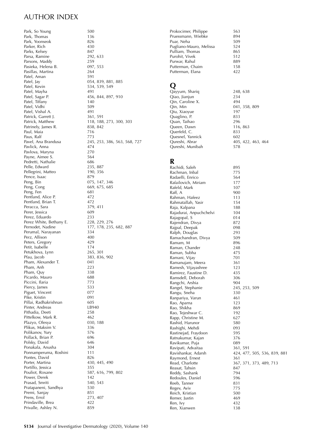Park, So Young 500<br>Park, Thomas 500 Park, Thomas 136<br>Park, Yoonseok 136 Park, Yoonseok 826<br>Parker, Rich 430 Parker, Rich 430<br>Parks, Kelsey 847 Parks, Kelsey Parsa, Ramine 292, 633<br>Parsons, Maddy 259 Parsons, Maddy 259<br>Pasieka, Helena B. 2097, 553 Pasieka, Helena B. Pasillas, Martina 264 Patel, Aman 591<br>Patel, Jay 654 Patel, Jay 054, 839, 881, 885<br>Patel, Kevin 534, 539, 549 Patel, Mayha 491<br>Patel, Sagar P. 456 Patel, Tiffany 140<br>Patel, Vidhi 1509 Patel, Vidhi Patel, Vishal A. (491)<br>Patrick, Garrett J. (491) 361, 591 Patrick, Garrett J. Patrick, Matthew 118, 188, 273, 300, 303<br>Patrinely, James R. 838, 842 Patrinely, James R. Paul, Maia 716 Paus, Ralf<br>Pavel, Ana Brandusa Pavlick, Anna 474 Pavlova, Maryna 1970<br>Pavne, Aimee S. 1986 Payne, Aimee S. Pedretti, Nathalie 686<br>Pelle Edward 687 - 235 887 Pelle, Edward Pellegrini, Matteo 190, 356<br>Pence Isaac 1879 Pence, Isaac Peng, Bin 075, 147, 346<br>Peng, Cong 669, 675, 685 Peng, Fen 681<br>Pentland, Alice P. 681 Pentland, Alice P. 472<br>Pentland, Brian T. 472 Pentland, Brian T. 472 Peracca, Sara 379, 411 Perer, Jessica Perez, Eduardo 233<br>
Perez White, Bethany E. 228, 229, 276 Perez White, Bethany E. Pernodet, Nadine 177, 178, 235, 682, 887<br>Perumal, Narayanan 334 Perumal, Narayanan Perz, Allison 400<br>Peters, Gregory 429 Peters, Gregory 429<br>Petit. Isabelle 174 Petit, Isabelle 174<br>Petukhova, Lynn 265, 301 Petukhova, Lynn<br>Pfau, Jacob Pham, Alexander T. (1941)<br>Pham, Anh (223) Pham, Anh 223<br>Pham, Ouv 338 Pham, Quy 338<br>Picardo, Mauro 688 Picardo, Mauro 688<br>Piccini, Ilaria 688 Piccini, Ilaria Piercy, James 533<br>Piguet, Vincent 677 Piguet, Vincent 077<br>Pike Kristin 091 Pike, Kristin Pillai, Radhakrishnan 605<br>Pinter, Andreas 18940 Pinter, Andreas LB94<br>Pithadia, Deeti 258 Pithadia, Deeti 258<br>Pittelkow Mark R 462 Pittelkow, Mark R. 462<br>Plazyo, Olesya 630, 188 Plazyo, Olesya (330, 1888)<br>Plikus, Maksim V. (336) Plikus, Maksim V. 336 Polikanov, Yury 576<br>Pollack, Brian P. 696 Pollack, Brian P. Polsky, David 646 Ponakala, Anusha Ponnamperuma, Roshini 111 Pontes, David 826<br>Porter, Martina 430 Portillo, Jessica<br>Pouliot, Roxane Power, Derek 142<br>Prasad, Smriti 540, 543 Prasad, Smriti 540,<br>Pratapaneni Sandhya 530 Pratapaneni, Sandhya 530<br>Premi, Sanjay 651 Premi, Sanjay 851<br>Prens. Errol 873. 407 Prens, Errol Prindaville, Brea 422<br>Privalle, Ashley N. 659 Privalle, Ashley N.

534, 539, 549 456, 844, 897, 910 Pavel, Ana Brandusa 245, 253, 386, 563, 568, 727 669, 675, 685 383, 836, 902<br>041 430, 445, 490<br>355 587, 616, 799, 802

| 563 |
|-----|
| 894 |
| 509 |
| 524 |
| 865 |
| 512 |
| 889 |
| 158 |
| 422 |
|     |

# Q

Qayyum, Shariq 248, 638 Qiao, Jianjun Qin, Caroline X. 494<br>Qin, Min 641 041, 358, 809 Qiu, Xiaoyue 197 Quaglino, P. 833 Quan, Taihao 296<br>Queen, Dawn 116, 863 Queen, Dawn Querfeld, C. 833<br>Quesnel, Yannick 602 Quesnel, Yannick<br>Oureshi, Abrar Qureshi, Abrar 405, 422, 463, 464 Qureshi, Munibah 578

# R

Rachidi, Saleh 895<br>Rachman, Inbal 895 Rachman, Inbal Radaelli, Enrico 564<br>Rafailovich, Miriam 177 Rafailovich, Miriam 177<br>Rafeld Mark 107 Rafeld, Mark 107<br>Raff, A 900 Raff, A 900<br>Rahman, Hafeez 113 Rahman, Hafeez Rahmatallah, Yasir 154<br>Raja, Kalpana 188 Raja, Kalpana Rajadurai, Anpuchchelvi 104 Rajagopal, S 014 Rajendran, Divya 872<br>Rajpal, Deepak 098 Rajpal, Deepak 1998<br>Ralph, Douglas 1993 Ralph, Douglas Ramachandran, Divya 509 Ramam, M Raman, Chander 248<br>Raman, Subha 275 Raman, Subha Ramani, Vijay 701 Ramanujam, Meera 361 Ramesh, Vijayashree 123 Ramirez, Faustine D. 435<br>Ramsdell. Deborah 1306 Ramsdell, Deborah 306<br>Rangchi, Arshia 304 Rangchi, Arshia 1904<br>
Rangel, Stephanie 1945, 253, 509 Rangel, Stephanie Rangu, Sneha<br>Ranpariya, Varun 161 Ranpariya, Varun 161<br>Rao Anarna 123 Rao, Aparna 123<br>Rao, Shikha 123 Rao, Shikha 869 Rao, Tejeshwar C. Rapp, Christine M. 627<br>Rashid, Harunor 580 Rashid, Harunor Rashighi, Mehdi 093 Rastinejad, Fraydoon 595<br>Ratnakumar, Kaian 376 Ratnakumar, Kajan 376<br>Ravikumar, Puja 1989 Ravikumar, Puja<br>Ravipati, Advaitaa 1948 - 1948 1949 1959 Ravipati, Advaitaa<br>Ravishankar, Adarsh Raymond, Ernest 361 Read, Charlotte 367, 371, 373, 489, 713 Reasat, Tahsin 847<br>Reddy, Sashank 794 Reddy, Sashank 794<br>Redoules. Daniel 596 Redoules, Daniel 596<br>Reeb, Tanner 631 Reeb, Tanner 831<br>Regev, Aviv 775 Regev, Aviv 775 Reich, Kristian 500<br>Remer, Justin 469 Remer, Justin Ren, Ivy 432 Ren, Xianwen 138

Ravishankar, Adarsh 424, 477, 505, 536, 839, 881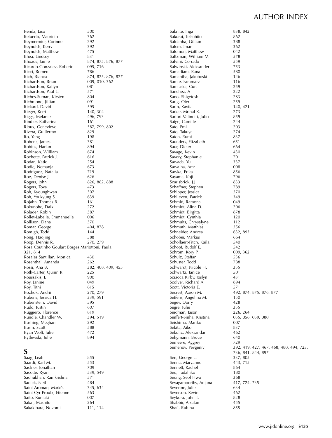Renda, Lisa Retuerto, Mauricio Reymermier, Corinne Reynolds, Kerry Reynolds, Matthew Rhea, Lindsey Rhoads, Jamie Ricardo-Gonzalez, Roberto Ricci, Romeo Rich, Bianca Richardson, Brian Richardson, Katlyn Richardson, Paul L. Riches-Suman, Kirsten Richmond, Jillian Rickard, David Rieger, Kerri Riggs, Melanie Rindler, Katharina Rioux, Geneviève Rivera, Guillermo Ro, Yang Roberts, James Robins, Harlan Robinson, William Rochette, Patrick J. Rodan, Katie Rodic, Nemanja Rodriguez, Natalia Roe, Denise J. Rogers, John Rogers, Tova Roh, Kyounghwan Roh, Youkyung S. Rojahn, Thomas B. Rokunohe, Daiki Rolader, Robin Rollet-Labelle, Emmanuelle Rollison, Dana Romar, George Romigh, Todd Rong, Haojing Roop, Dennis R. Rosa Coutinho Goulart Borges M 321, 814 Rosales Santillan, Monica Rosenthal, Amanda Rossi, Ana B. Roth-Carter, Quinn R. Roussakis, E Roy, Janine Roy, Tithi Rozhok, Andrii Rubens, Jessica H. Rubenstein, David Rudd, Justin Ruggiero, Florence Rundle, Chandler W. Rushing, Meghan Rusin, Scott Ryan Wolf, Julie Rytlewski, Julie

# S

| 855      |
|----------|
| 553      |
| 709      |
| 539, 549 |
| 571      |
| 484      |
| 345, 634 |
| 563      |
| 007      |
| 264      |
| 111, 114 |
|          |

| 500<br>362                  |                                     |  |  |
|-----------------------------|-------------------------------------|--|--|
| 292<br>392                  |                                     |  |  |
| 475<br>831                  |                                     |  |  |
| 095,                        | 874, 875, 876, 877<br>716           |  |  |
| 786                         | 874, 875, 876, 877<br>009, 010, 362 |  |  |
| 081<br>571                  |                                     |  |  |
| 804<br>091                  |                                     |  |  |
| 595                         |                                     |  |  |
| 140, 304<br>496, 793<br>161 |                                     |  |  |
| 829                         | 587, 799, 802                       |  |  |
| 198<br>381                  |                                     |  |  |
| 894<br>674<br>616           |                                     |  |  |
| 254<br>673                  |                                     |  |  |
| 719<br>626                  |                                     |  |  |
| 473                         | 826, 882, 888                       |  |  |
| 307<br>639                  |                                     |  |  |
| 161<br>272                  |                                     |  |  |
| 387<br>006<br>370           |                                     |  |  |
| 404, 878<br>144             |                                     |  |  |
| 588<br>270, 279             |                                     |  |  |
| ariottoni, Paula            |                                     |  |  |
| 430<br>262                  |                                     |  |  |
| 225<br>900                  | 382, 408, 409, 455                  |  |  |
| 049<br>615                  |                                     |  |  |
| 270, 279<br>339, 591        |                                     |  |  |
| 595<br>607                  |                                     |  |  |
| 819<br>394, 519             |                                     |  |  |
| 292<br>588<br>472           |                                     |  |  |
| 894                         |                                     |  |  |
| 855                         |                                     |  |  |
| 553<br>709                  |                                     |  |  |
| 539, 549<br>571             |                                     |  |  |
| 484<br>345, 634             |                                     |  |  |

| Saknite, Inga            | 838, 842                                |
|--------------------------|-----------------------------------------|
| Sakurai, Tetsuhito       | 862                                     |
| Saldanha, Gillian        | 388                                     |
|                          |                                         |
| Salem, Iman              | 362                                     |
| Salomon, Matthew         | 042                                     |
| Saltzman, William M.     | 578                                     |
| Salvini, Corrado         | 559                                     |
| Salwinski, Aleksander    | 753                                     |
| Samadfam, Rana           | 580                                     |
| Samantha, Jakuboski      | 146                                     |
| Samie, Faramarz          | 116                                     |
| Samlaska, Curt           | 259                                     |
| Sanchez, A               | 222                                     |
|                          | 283                                     |
| Sano, Shigetoshi         |                                         |
| Sarig, Ofer              | 259                                     |
| Sarin, Kavita            | 140, 421                                |
| Sarkar, Mrinal K.        | 273                                     |
| Sartori-Valinotti, Julio | 859                                     |
| Satge, Camille           | 244                                     |
| Sato, Emi                | 203                                     |
| Sato, Takuya             | 274                                     |
| Satoh, Rumi              | 837                                     |
| Saunders, Elizabeth      | 651                                     |
| Saur, Dieter             | 664                                     |
|                          | 430                                     |
| Savage, Kevin            |                                         |
| Savory, Stephanie        | 701                                     |
| Sawada, Yu               | 337                                     |
| Sawalha, Amr             | 008                                     |
| Sawka, Erika             | 856                                     |
| Sayama, Koji             | 796                                     |
| Scarisbrick, J.J.        | 833                                     |
| Schaffner, Stephen       | 789                                     |
| Schipper, Jessica        | 270                                     |
| Schlievert, Patrick      | 349                                     |
| Schmid, Ramona           | 049                                     |
| Schmidt, Alina D.        | 206                                     |
|                          |                                         |
| Schmidt, Birgitta        | 878                                     |
| Schmidt, Cynthia         | 120                                     |
| Schmults, Chrysalyne     | 112                                     |
| Schmuth, Matthias        | 256                                     |
| Schneider, Andrea        | 632, 893                                |
| Schober, Markus          | 664                                     |
| Schollaert-Fitch, Kaila  | 540                                     |
| Schopf, Rudolf E.        | 542                                     |
| Schrom, Kory P.          | 009, 362                                |
| Schulz, Steffan          | 536                                     |
|                          | 788                                     |
| Schuster, Todd           |                                         |
| Schwardt, Nicole H.      | 355                                     |
| Schwartz, Janice         | 501                                     |
| Sciacca Kirby, Joslyn    | 431                                     |
| Scolyer, Richard A.      | 894                                     |
| Scott, Victoria E.       | 571                                     |
| Secrest, Aaron M.        | 492, 874, 875, 876, 877                 |
| Seffens, Angelina M.     | 150                                     |
| Segev, Dorry             | 428                                     |
| Segre, Julie             | 355                                     |
| Seidman, Jason           | 226, 264                                |
| Seiffert-Sinha, Kristina | 055, 056, 059, 080                      |
|                          |                                         |
| Seishima, Mariko         | 007                                     |
| Sekita, Aiko             | 837                                     |
| Sekulic, Aleksandar      | 462                                     |
| Seligmann, Bruce         | 640                                     |
| Semeere, Aggrey          | 729                                     |
| Semenov, Yevgeniy        | 392, 419, 427, 467, 468, 480, 494, 723, |
|                          | 736, 841, 844, 897                      |
| Sen, George L.           | 337, 805                                |
| Senna, Maryanne          | 443, 715                                |
| Sennett, Rachel          | 864                                     |
|                          |                                         |
| Seo, Tadahiko            | 180                                     |
| Seong, Seol Hwa          | 368                                     |
| Sevagamoorthy, Anjana    | 417, 724, 735                           |
| Severine, Julie          | 634                                     |
| Severson, Kevin          | 462                                     |
| Seykora, John T.         | 828                                     |
| Shabbir, Arsalan         | 455                                     |
| Shafi, Rubina            | 855                                     |
|                          |                                         |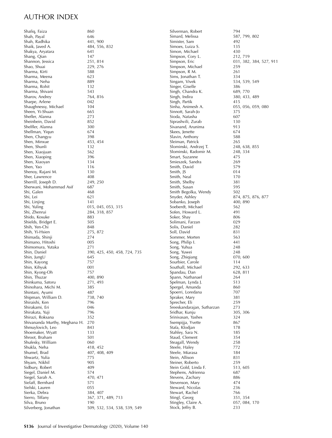| Shafiq, Faiza                          | 860                          |
|----------------------------------------|------------------------------|
| Shah, Payal                            | 646                          |
| Shah, Radhika                          | 441, 900                     |
| Shaik, Javed A.                        | 484, 556, 832                |
| Shakya, Aryatara<br>Shang, Qian        | 641<br>147                   |
| Shannon, Jessica                       | 251, 814                     |
| Shao, Shuai                            | 229, 276                     |
| Sharma, Kirti                          | 588                          |
| Sharma, Meena                          | 623                          |
| Sharma, Neha                           | 889                          |
| Sharma, Rohit                          | 132                          |
| Sharma, Shivani                        | 543                          |
| Sharov, Andrey                         | 764, 816                     |
| Sharpe, Arlene                         | 042                          |
| Shaughnessy, Michael                   | 104                          |
| Sheen, Yi-Shuan                        | 665<br>273                   |
| Shefler, Alanna<br>Sheinbein, David    | 852                          |
| Shelfler, Alanna                       | 300                          |
| Shellman, Yiqun                        | 674                          |
| Shen, Changyu                          | 398                          |
| Shen, Minxue                           | 453, 454                     |
| Shen, Shunli                           | 132                          |
| Shen, Xiaojuan                         | 562                          |
| Shen, Xiaoping                         | 396                          |
| Shen, Xiaoyan                          | 134                          |
| Shen, Yao                              | 116                          |
| Shenoy, Rajani M.                      | 130                          |
| Sher, Lawrence<br>Sherrill, Joseph D.  | 408<br>249, 250              |
| Sherwani, Mohammad Asif                | 687                          |
| Shi, Galen                             | 468                          |
| Shi, Lei                               | 621                          |
| Shi, Linjing                           | 141                          |
| Shi, Yuling                            | 015, 045, 053, 315           |
| Shi, Zhenrui                           | 284, 318, 857                |
| Shido, Kosuke                          | 883                          |
| Shields, Bridget E.                    | 505                          |
| Shih, Yen-Chi                          | 848                          |
| Shih, Yi-Hsien                         | 275, 872<br>274              |
| Shimada, Shinji<br>Shimano, Hitoshi    | 005                          |
| Shimomura, Yutaka                      | 271                          |
| Shin, Daniel                           | 390, 425, 450, 458, 724, 735 |
| Shin, JungU                            | 645                          |
| Shin, Kayong                           | 757                          |
| Shin, Kihyuk                           | 001                          |
| Shin, Kyong-Oh                         | 757                          |
| Shin, Thuzar                           | 400, 890                     |
| Shinkuma, Satoru                       | 271, 493                     |
| Shinohara, Michi M.                    | 385<br>487                   |
| Shintani, Ayumi<br>Shipman, William D. | 738, 740                     |
| Shiraishi, Ken                         | 796                          |
| Shirakami, Eri                         | 046                          |
| Shirakata, Yuji                        | 796                          |
| Shirazi, Roksana                       | 352                          |
| Shivananda Murthy, Meghana H.          | 270                          |
| Shmuylovich, Leo                       | 843                          |
| Shoemaker, Wyatt                       | 133                          |
| Shroot, Braham                         | 501                          |
| Shufesky, William                      | 060                          |
| Shukla, Neha<br>Shumel, Brad           | 418, 452<br>407, 408, 409    |
| Shwartz, Yulia                         | 775                          |
| Shyam, Nikhil                          | 905                          |
| Sidbury, Robert                        | 409                          |
| Siegel, Daniel M.                      | 574                          |
| Siegel, Sarah A.                       | 470, 471                     |
| Sielaff, Bernhard                      | 571                          |
| Sielski, Lauren                        | 055                          |
| Sierka, Debra                          | 384, 407                     |
| Sierro, Tiffany                        | 367, 371, 489, 713           |
| Silva, Bruno                           | 190                          |
| Silverberg, Jonathan                   | 509, 532, 534, 538, 539, 549 |

| Silverman, Robert                       | 794                     |
|-----------------------------------------|-------------------------|
| Simard, Melissa                         | 587, 799, 802           |
|                                         | 492                     |
| Simister, Sam                           |                         |
| Simoes, Luiza S.                        | 135                     |
| Simon, Michael                          | 430                     |
| Simpson, Cory L.                        | 212, 719                |
| Simpson, Eric                           | 031, 382, 384, 527, 911 |
| Simpson, Michael                        | 259                     |
| Simpson, R M.                           | 261                     |
| Sims, Jonathan T.                       | 334                     |
| Singam, Vivek                           | 534, 539, 549           |
| Singer, Giselle                         | 386                     |
| Singh, Chandra K.                       | 689, 770                |
| Singh, Indira                           | 380, 433, 489           |
| Singh, Partik                           | 415                     |
| Sinha, Animesh A.                       | 055, 056, 059, 080      |
| Sinnott, Sarah-Jo                       | 375                     |
| Sioda, Natasha                          | 607                     |
|                                         |                         |
| Siprashvili, Zurab                      | 130                     |
| Sivanand, Arunima                       | 913                     |
| Skees, Jenette                          | 674                     |
| Slavin, Anthony                         | 588                     |
| Sleiman, Patrick                        | 265                     |
| Slominski, Andrzej T.                   | 248, 638, 855           |
| Slominski, Radomir M.                   | 248, 334                |
| Smart, Suzanne                          | 475                     |
| Smieszek, Sandra                        | 269                     |
| Smith, David                            | 579                     |
| Smith, JS                               | 014                     |
| Smith, Neal                             | 170                     |
| Smith, Shelby                           | 381                     |
|                                         |                         |
| Smith, Susan                            | 595                     |
| Smith Begolka, Wendy                    | 502                     |
| Snyder, Ashley                          | 874, 875, 876, 877      |
| Sobanko, Joseph                         | 400, 890                |
| Soeberdt, Michael                       | 562                     |
| Sofen, Howard L.                        | 491                     |
| Soker, Shay                             | 806                     |
| Solimani, Farzan                        | 029                     |
| Solis, Daniel                           | 282                     |
| Soll, David                             | 831                     |
| Sommer, Morten                          | 563                     |
| Song, Philip I.                         | 441                     |
|                                         | 248                     |
| Song, Yuhua                             | 248                     |
| Song, Yuwei                             |                         |
| Song, Zhiqiang                          | 070, 600                |
| Sourbier, Carole                        | 114                     |
| Southall, Michael                       | 292, 633                |
| Spandau, Dan                            | 628, 811                |
| Spann, Nathanael                        | 264                     |
| Spelman, Lynda J.                       | 513                     |
| Spergel, Amanda                         | 860                     |
| Spoerri, Loredana                       | 707                     |
| Spraker, Mary                           | 381                     |
| Sprecher, Eli                           | 259                     |
| Sreeskandarajan, Sutharzan              | 273                     |
| Sridhar, Kunju                          | 305, 306                |
| Srinivasan, Yashes                      | 324                     |
|                                         | 867                     |
| Ssempijja, Yvette                       |                         |
| Stafa, Klodjan                          | 178                     |
| Stahley, Sara N.                        |                         |
| Staud, Clement                          | 185                     |
| Steagall, Wendy                         | 354                     |
| Steele, Haley                           | 258                     |
|                                         | 772                     |
| Steele, Miarasa                         | 184                     |
| Stein, Allison                          | 831                     |
|                                         | 259                     |
| Steiner, Roberto                        |                         |
| Stein Gold, Linda F.                    | 513, 605                |
| Stephens, Adrienna                      | 687                     |
| Stevens, Zachary                        | 886                     |
| Stevenson, Mary                         | 474                     |
| Steward, Nicolas                        | 236                     |
| Stewart, Rachel                         | 766                     |
| Stingl, Georg                           | 351, 354                |
| Stingley, Claire A.<br>Stock, Jeffry B. | 057, 084, 170<br>233    |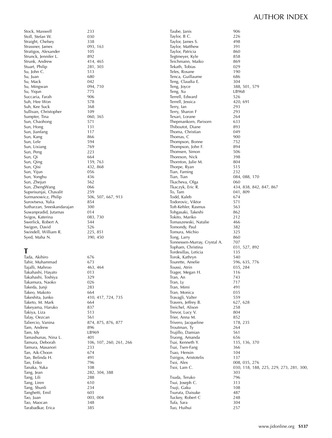Stock, Maxwell 233<br>Stoll, Stefan W. 230 Stoll, Stefan W. 030<br>Straight. Chelsev 338 Straight, Chelsey 338<br>Strassner, James 093. 163 Strassner, James (1937)<br>Stratigos, Alexander (1957) Stratigos, Alexander Strunck, Jennifer L. 892<br>Strunk, Andrew 414, 465 Strunk, Andrew 414, 465<br>
Stuart, Philip 281, 303 Stuart, Philip 281,<br>
Su. Iohn C. 513 Su, John C. 513<br>Su, Juan 680 Su, Juan 680<br>Su, Mack 690 Su, Mack 042 Su, Mingwan Su, Yiqun 775<br>Succaria, Farah 775 Succaria, Farah Suh, Hee Won 578<br>Suh, Kee Suck 368 Suh, Kee Suck 368<br>Sullivan, Christopher 309 Sullivan, Christopher 109<br>Sumpter, Tina 1060, 365 Sumpter, Tina Sun, Chaohong 571<br>Sun, Hong 571 Sun, Hong Sun, Jianfang 117<br>Sun, Kang 117 Sun, Kang 866<br>Sun, Lele 594 Sun, Lele 594<br>Sun, Lixiang 594 Sun, Lixiang 769<br>
Sun, Peng 223 Sun, Peng 223<br>Sun, Oi 664 Sun, Qi 664<br>Sun, Qing 159. 763 Sun, Qing 159, 763<br>
Sun, Oisi 1432, 868 Sun, Qisi Sun, Yijun 056<br>Sun, Yonghu 436 Sun, Yonghu 436<br>Sun, Zhejun 562 Sun, Zhejun Sun, ZhengWang 1966<br>Sunsrisuniai, Chavalit 1976 Supsrisunjai, Chavalit 259<br>Surmanowicz, Philip 2506, 507, 667, 913 Surmanowicz, Philip 506<br>Surovtseva, Yulia 654 Surovtseva, Yulia <sup>1</sup> 854<br>Sutharzan, Sreeskandarajan 300 Sutharzan, Sreeskandarajan 300<br>Suwanpradid. lutamas 6014 Suwanpradid, Jutamas 614<br>Svigos, Katerina 6083, 730 Svigos, Katerina (1833)<br>Swerlick, Robert A. 544 Swerlick, Robert A. Swigon, David<br>Swindell, William R. 225, 851 Swindell, William R. 225, 851<br>Syed, Maha N. 390, 450 Syed, Maha N.

## T

Tada, Akihiro 676<br>Tahir. Muhammad 673 Tahir, Muhammad 673<br>Tajalli, Mahroo 463, 464 Tajalli, Mahroo 463, 464 Takahashi, Hayato 013 Takahashi, Toshiya 329 Takamura, Naoko Takeda, Junji 283 Takeo, Makoto Takeshita, Junko 410, 417, 724, 735 Taketo, M. Mark 664 Takeyama, Haruko 837<br>Takiya, Liza 837 Takiya, Liza 513 Talay, Oezcan<br>Taliercio, Vanina Tam, Andrew Tam, Idy LB969 Tamashunas, Nina L. Tamura, Deborah 106, 107, 260, 261, 266 Tamura, Masanori 233 Tan, Aik-Choon 674<br>Tan, Belinda H. 691 Tan, Belinda H. 491<br>Tan, Friko 1996 Tan, Eriko 1966 - 796 796 796<br>Tanaka, Yuka 108 Tanaka, Yuka<br>Tang, Jean Tang, Lili 288<br>Tang, Liren 610 Tang, Liren 610<br>Tang Shunli 6334 Tang, Shunli 234<br>Tanghetti, Emil 603 Tanghetti, Emil<br>Tao, luan 603, 004 Tao, Juan 003, 004 Tao, Maocan 348 Tarabadkar, Erica

874, 875, 876, 877<br>896

282, 304, 388<br>288

Taube, Janis 906<br>Taylor, B C. 226 Taylor, B C. 226<br>Taylor, James S. 226 Taylor, James S. 498<br>Taylor, Matthew 391 Taylor, Matthew 391<br>Taylor, Patricia 660 Taylor, Patricia 860<br>Tegtmeyer, Kyle 858 Tegtmeyer, Kyle<br>Teichmann, Maiko<br>869 Teichmann, Maiko 869<br>Tekath Tobias (229) Tekath, Tobias (1998)<br>Teles. Rosane (1998) Teles, Rosane Tenca, Guillaume 686<br>
Teng, Claudia E. 304 Teng, Claudia E.<br>Teng, Joyce 388, 501, 579 Teng, Xu LB968 Terrell, Edward<br>
Terrell, Jessica<br>
420, 691 Terrell, Jessica 420,<br>Terry, Ian 293 Terry, Ian 293<br>Terry, Sharon F 293 Terry, Sharon F Texari, Lorane 264 Thepmankorn, Parisorn 633<br>Thiboutot, Diane 893 Thiboutot, Diane 893<br>Thoma, Christian 049 Thoma, Christian 049<br>Thomas. C 900 Thomas, C<br>Thompson, Bonne 752 Thompson, Bonne 752<br>Thompson, John F. 894 Thompson, John F. 894<br>Thomsen, Simon 506 Thomsen, Simon 506<br>Thoreson, Nick 398 Thoreson, Nick Thornton, Julie M.  $804$ <br>Thorne. Ryan 515 Thorpe, Ryan Tian, Faming 232<br>Tian, Tian 232 084, 088, 170<br>060 Tkacheva, Olga<br>Tkaczyk, Eric R. Tkaczyk, Eric R. 434, 838, 842, 847, 867 041, 809<br>674 Todd, Kaleb 674<br>Todorovic. Viktor 671 Todorovic, Viktor 571<br>Toft-Kehler, Rasmus 563 Toft-Kehler, Rasmus 563 Tohgasaki, Takeshi 862 Tokito, Mariko 1212<br>Tomaszewski, Natalie 166 Tomaszewski, Natalie Tomondy, Paul 382<br>Tomura, Michio 325 Tomura, Michio Tong, Larry 860<br>Tonnessen-Murray, Crystal A. 707 Tonnessen-Murray, Crystal A. 707<br>Topham, Christina 2031, 527, 892 Topham, Christina (135)<br>Tordesillas, Leticia (135) Tordesillas, Leticia 135<br>Torok, Kathryn 540 Torok, Kathryn 1988 540<br>Tourette, Amelie 1996, 635, 776 Tourette, Amelie 596, 635, 776 Toussi, Atrin 035<br>Trager Megan H 116 Trager, Megan H. 116<br>Tran, An 743 Tran, An 743<br>Tran, Ly 717 Tran, Lv Tran, Mimi 491<br>Tran, Monica 635 Tran, Monica (3559)<br>Travagli, Valter (359) Travagli, Valter 559<br>Travers, Jeffrey B. 627, 628 Travers, Jeffrey B. 627<br>Treichel. Alison 258 Treichel, Alison 258<br>Trevor, Lucy V. 804 Trevor, Lucy V. 804<br>Trier, Anna M. 852 Trier, Anna<sup>'</sup>M.<br>Trivero, Jacqueline 178, 235 Trivero, Jacqueline Troutman, Ty 264 Trujillo, Damian 561<br>Truong, Amanda 656 Truong, Amanda 656 Tsai, Kenneth Y. 135,<br>Tsai, Tsen-Fang 1366 Tsai, Tsen-Fang 366 Tsao, Hensin 104 Tsirigos, Aristotelis 137<br>Tsoi, Alex 008 Tsoi, Alex 008, 035, 276<br>Tsoi, Lam C. 030, 118, 188, 030, 118, 188, 225, 229, 273, 281, 300, 303 Tsuda, Teruko 796 Tsui, Joseph C. 313 Tsuji, Gaku<br>Tsuruta, Daisuke 108 Tsuruta, Daisuke 487<br>Tuckev. Robert C 48 Tuckey, Robert C Tufa, Sara 304

Tuo, Huihui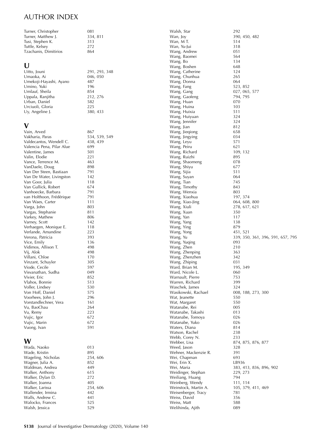| Turner, Christopher                 | 081           | Walsh, Star         |
|-------------------------------------|---------------|---------------------|
| Turner, Matthew J.                  | 334, 811      | Wan, Joy            |
| Tusi, Stephen K.                    | 313           | Wan, M T.           |
| Tuttle, Kelsey                      | 272           | Wan, Yu-Jui         |
| Tzachanis, Dimitirios               | 864           | Wang, Andrew        |
|                                     |               | Wang, Baomei        |
|                                     |               | Wang, Bo            |
| U                                   |               | Wang, Boshen        |
| Uitto, Jouni                        | 291, 293, 348 | Wang, Catherine     |
| Umaoka, Ai                          | 046, 050      | Wang, Chunhua       |
| Umekoji-Hayashi, Ayano              | 487           | Wang, Donna         |
| Umino, Yuki                         | 196           | Wang, Fang          |
| Umlauf, Sheila                      | 854           | Wang, Gang          |
| Uppala, Ranjitha                    | 212, 276      | Wang, Gaofeng       |
| Urban, Daniel                       | 582           | Wang, Huan          |
| Urciuoli, Gloria                    | 225           | Wang, Huina         |
| Uy, Angeline J.                     | 380, 433      | Wang, Huixia        |
|                                     |               | Wang, Huiyuan       |
|                                     |               | Wang, Jennifer      |
| V                                   |               | Wang, Jian          |
| Vain, Arved                         | 867           | Wang, Jieqiong      |
| Vakharia, Paras                     | 534, 539, 549 | Wang, Jingying      |
| Valdecantos, Wendell C.             | 438, 439      | Wang, Leyu          |
| Valencia Pena, Pilar Alue           | 699           |                     |
|                                     | 501           | Wang, Peiru         |
| Valentine, James                    |               | Wang, Richard       |
| Valin, Elodie<br>Vance, Terrence M. | 221           | Wang, Ruizhi        |
|                                     | 463           | Wang, Shaomeng      |
| VanDaele, Doug                      | 898           | Wang, Shiyu         |
| Van Der Steen, Bastiaan             | 791           | Wang, Sijia         |
| Van De Water, Livingston            | 142           | Wang, Suyan         |
| Van Goor, Julia                     | 118           | Wang, Tian          |
| Van Gullick, Robert                 | 674           | Wang, Timothy       |
| Vanhoecke, Barbara                  | 791           | Wang, Wenxia        |
| van Holthoon, Frédérique            | 791           | Wang, Xiaohua       |
| Van Waes, Carter                    | 111           | Wang, Xiao-Jing     |
| Varga, John                         | 803           | Wang, Xiuli         |
| Vargas, Stephanie                   | 811           | Wang, Xuan          |
| Varkey, Mathew                      | 806           | Wang, Yan           |
| Varney, Scott                       | 142           | Wang, Yang          |
| Verhaegen, Monique E.               | 118           | Wang, Ying          |
| Verlande, Amandine                  | 223           | Wang, Yong          |
| Verona, Patricia                    | 393           | Wang, Yu            |
| Vice, Emily                         | 136           | Wang, Yuqing        |
| Vidimos, Allison T.                 | 498           | Wang, Zhen          |
| Vij, Alok                           | 498           | Wang, Zhenping      |
| Villani, Chloe                      | 170           | Wang, Zhenzhen      |
| Vinzant, Schuyler                   | 305           | Wang, Zhiping       |
| Viode, Cecile                       | 597           | Ward, Brian M.      |
| Visvanathan, Sudha                  | 049           | Ward, Nicole L.     |
| Vivier, Eric                        | 852           | Warnault, Pierre    |
| Vlahos, Bonnie                      | 513           | Warren, Richard     |
| Voller, Lindsey                     | 530           | Waschek, James      |
| Von Hoff, Daniel                    | 575           | Wasikowski, Rachael |
| Voorhees, John J.                   | 296           | Wat, Jeanette       |
| Vorstandlechner, Vera               | 161           | Wat, Margaret       |
| Vu, BaoChau                         | 264           | Watanabe, Rei       |
| Vu, Remy                            | 223           | Watanabe, Takashi   |
| Vujic, Igor                         | 672           | Watanabe, Tomoya    |
| Vujic, Marin                        | 672           | Watanabe, Yuko      |
| Vuong, Ivan                         | 591           | Waters, Diana       |
|                                     |               | Watson, Rachel      |
|                                     |               | Webb, Corey N.      |
| W                                   |               | Webber, Lisa        |
| Wada, Naoko                         | 013           | Weed, Jason         |
| Wade, Kristin                       | 895           | Wehner, Mackenzie R |

390, 450, 482 523, 852 027, 065, 577 794, 795 109, 132 197, 374  $064, 608, 800$ 278, 617, 621 451, 521 339, 350, 361, 396, 591, 657, 795 195, 349 008, 188, 273, 300 874, 875, 876, 877 LB936 383, 413, 836, 896, 902 229, 273 111, 114 105, 379, 411, 469

254,606

254,606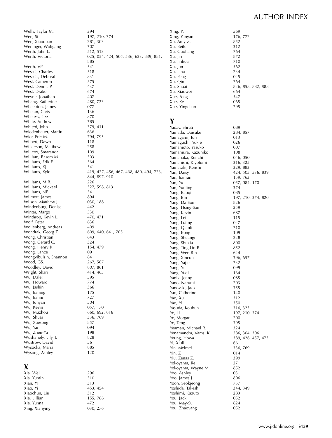Wells, Taylor M. 394<br>Wen, Si 397 Wen, Xiaoquan 281<br>Weninger, Wolfgang 207 Weninger, Wolfgang 707<br>Werth, John L. 512, 513 Werth, John L.<br>Werth, Victoria

Werth, VP Wessel, Charles 518<br>Wessels, Deborah 631 Wessels, Deborah 831<br>West, Cameron 575 West, Cameron 575<br>West, Dennis P. 437 West, Dennis P. West, Drake 674<br>Wevne, Ionathan 674 Weyne, Jonathan 407<br>Whang, Katherine 480, 723 Whang, Katherine 480<br>Wheeldon, James 077 Wheeldon, James Whelan, Chris 136<br>Wheless, Lee 870 Wheless, Lee White, Andrew 785<br>
Whited, John 379, 411 Whited, John Wiedenbauer, Martin 636<br>Wier, Eric M. 794, 795 Wier, Eric M. Wilbert, Dawn 118 Wilkerson, Matthew 258<br>Willcox, Smaranda 109 Willcox, Smaranda 109<br>William. Basem M. 503 William, Basem M. Williams, Erik F.<br>Williams. Kl 541 Williams, KJ Williams, M R. 226<br>Williams, Mickael 327, 598, 813 Williams, Mickael 327<br>Williams, NF 541 Williams, NF 541<br>Wilmott, James 894 Wilmott, James<br>Wilson, Matthew I. (300, 188) Wilson, Matthew J. 030<br>Windenburg, Denise 442 Windenburg, Denise 442<br>Winter, Margo 530 Winter, Margo 530<br>Winthrop, Kevin L. 470, 471 Winthrop, Kevin L. 470,<br>Wolf, Peter 636 Wolf, Peter Wollenberg, Andreas 409<br>
Wondrak, Georg T. 609, 640, 641, 705 Wondrak, Georg T. Wong, Christian 643<br>Wong, Gerard C. 324 Wong, Gerard C. 324<br>Wong, Henry K. 154, 479 Wong, Henry K. 154<br>Wong Lance 091 Wong, Lance 091<br>Wongvibulsin, Shannon 841 Wongvibulsin, Shannon 841<br>Wood, GS. 267. 567 Wood, GS. 267, 567<br>Woodley, David 207, 861 Woodley, David 807, 861<br>Wright, Shari 414, 465 Wright, Shari 414<br>Wu Dalei 595 Wu, Dalei 595<br>Wu, Howard 5774 Wu, Howard Wu, Jashin 366<br>Wu, Jianing 375 Wu, Jianing Wu, Jianni 727 Wu, Junyan 504 Wu, Kevin 657, 170<br>Wu, Muzhou 660, 692, Wu, Shuai 336<br>Wu, Xuesong 357 Wu, Xuesong 857 Wu, Yan Wu, Zhen-Yu 198<br>Wushanely, Lily T. 628 Wushanely, Lily T. Wustrow, David 561 Wysocka, Maria Wysong, Ashley 120

#### X

Xia, Wei 296<br>Xia, Yumin 2006 296 Xia, Yumin 510 Xian, YF<br>Xiao, Yi 313<br>453, Xiaochun, Liu 312<br>Xie, Lillian 155, 786 Xie, Lillian Xie, Yunna 172<br>
Xing, Xianying 1880 030, 276 Xing, Xianying

453, 454<br>312

197, 210, 374<br>281, 303 025, 054, 424, 505, 536, 623, 839, 881, 885<br>541 Williams, Kyle 419, 427, 456, 467, 468, 480, 494, 723, 844, 897, 910 660, 692, 816<br>336, 769

Xing, Y. 569  $Xing, Yanyan$ <br> $Xu, Amy, Z$   $852$ Xu, Amy Z. 852<br>Xu, Beilei 312 Xu, Beilei 312<br>Xu, Guoliang 312 Xu, Guoliang Xu, Jin 872<br>Xu, Jinhua 872  $Xu$ , Jinhua Xu, Jun 562 Xu, Lina 234 Xu, Peng 045<br>
Xu, Qin 764 Xu, Qin<br>Xu, Shuai Xu, Xiaowei 664<br>Xue. Feng Xue, Feng 547 Xue, Ke 65<br>
Xue, Yingchao 65 Xue, Yingchao Yadav, Shruti 089 Yamada, Daisuke 284, 857<br>Yamagami, Jun 013 Yamagami, Jun 013 Yamaguchi, Yukie 026<br>
Yamamoto, Yasuko 007 Yamamoto, Yasuko 1007<br>Yamamura, Kazuhiko 108 Yamamura, Kazuhiko 108 Yamanaka, Keiichi 046, 050<br>Yamanishi, Kiyofumi 316, 325 Yamanishi, Kiyofumi 316, 325 Yamasaki, Kenshi<br>Yan, Daisy Yan, Jianjun 159, 763 Yan, Yunling 374 Yang, Baoqi<br>Yang, Bin Yang, Da Som 826<br>Yang, Hsing-San 8259 Yang, Hsing-San 259<br>Yang, Kevin Yang, Kevin Yang, Lei 115 Yang, Luting 027<br>
Yang, Qianli 1986 710 Yang, Qianli 710<br>Yang Rong 109 Yang, Rong Yang, Shuangni 228 Yang, Shuxia Yang, Ting-Lin B. 852<br>
Yang, Wen-Bin 624 Yang, Wen-Bin 624<br>
Yang, Xincun 624<br>
396, 657 Yang, Xincun Yang, Yajie 732 Yang, Yi 099 Yang, Yuqi 164 Yanik, Jenny 085<br>
Yano, Narumi 203 Yano, Narumi 203 Yanovski, Jack 355<br>
Yao Catherine 140 Yao, Catherine 140<br>
Yao, Xu 312 Yao, Xu 312 Yao, Yi 350<br>Yasuda, Koubun 316, 325 Yasuda, Koubun<br>Ye, Li Ye, Morgan 200<br>
Ye, Teng 395 Ye, Teng Yeaman, Michael R. 324<br>Yenamandra, Vamsi K. 386, 304, 306 Yenamandra, Vamsi K. Yeung, Howa 389, 426, 457, 473 Yi, Xiuli 661<br>
Yin, Meimei 336, 769 Yin, Meimei 336,<br>
Yin, Z 014 Yin, Z<br>
Yiu, Zenas Z. (399) Yiu, Zenas Z. 399 Yokoyama, Rei 271 Yokoyama, Wayne M. Yoo, Ashley 031<br>Yoo, James L Yoo, James J. Yoon, Seokjeong 757<br>Yoshida, Takeshi 844, 349 Yoshida, Takeshi 344, 349 Yoshimi, Kazuto 283 You, Jack You, May-Su 624<br>You, Zhaovang 652

You, Zhaoyang

Y

826, 858, 882, 888 424, 505, 536, 839 057, 084, 170<br>374 197, 210, 374, 820 Ye, Li 197, 210, 374